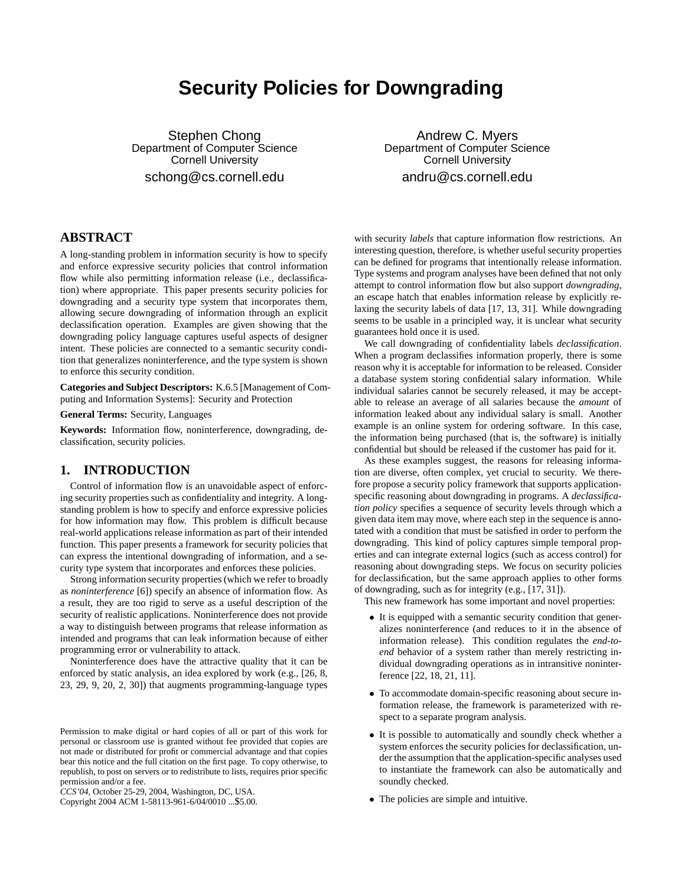# **Security Policies for Downgrading**

Stephen Chong Department of Computer Science Cornell University schong@cs.cornell.edu

Andrew C. Myers Department of Computer Science Cornell University andru@cs.cornell.edu

## **ABSTRACT**

A long-standing problem in information security is how to specify and enforce expressive security policies that control information flow while also permitting information release (i.e., declassification) where appropriate. This paper presents security policies for downgrading and a security type system that incorporates them, allowing secure downgrading of information through an explicit declassification operation. Examples are given showing that the downgrading policy language captures useful aspects of designer intent. These policies are connected to a semantic security condition that generalizes noninterference, and the type system is shown to enforce this security condition.

**Categories and Subject Descriptors:** K.6.5 [Management of Computing and Information Systems]: Security and Protection

**General Terms:** Security, Languages

**Keywords:** Information flow, noninterference, downgrading, declassification, security policies.

## **1. INTRODUCTION**

Control of information flow is an unavoidable aspect of enforcing security properties such as confidentiality and integrity. A longstanding problem is how to specify and enforce expressive policies for how information may flow. This problem is difficult because real-world applications release information as part of their intended function. This paper presents a framework for security policies that can express the intentional downgrading of information, and a security type system that incorporates and enforces these policies.

Strong information security properties (which we refer to broadly as *noninterference* [6]) specify an absence of information flow. As a result, they are too rigid to serve as a useful description of the security of realistic applications. Noninterference does not provide a way to distinguish between programs that release information as intended and programs that can leak information because of either programming error or vulnerability to attack.

Noninterference does have the attractive quality that it can be enforced by static analysis, an idea explored by work (e.g., [26, 8, 23, 29, 9, 20, 2, 30]) that augments programming-language types

Copyright 2004 ACM 1-58113-961-6/04/0010 ...\$5.00.

with security *labels* that capture information flow restrictions. An interesting question, therefore, is whether useful security properties can be defined for programs that intentionally release information. Type systems and program analyses have been defined that not only attempt to control information flow but also support *downgrading*, an escape hatch that enables information release by explicitly relaxing the security labels of data [17, 13, 31]. While downgrading seems to be usable in a principled way, it is unclear what security guarantees hold once it is used.

We call downgrading of confidentiality labels *declassification*. When a program declassifies information properly, there is some reason why it is acceptable for information to be released. Consider a database system storing confidential salary information. While individual salaries cannot be securely released, it may be acceptable to release an average of all salaries because the *amount* of information leaked about any individual salary is small. Another example is an online system for ordering software. In this case, the information being purchased (that is, the software) is initially confidential but should be released if the customer has paid for it.

As these examples suggest, the reasons for releasing information are diverse, often complex, yet crucial to security. We therefore propose a security policy framework that supports applicationspecific reasoning about downgrading in programs. A *declassification policy* specifies a sequence of security levels through which a given data item may move, where each step in the sequence is annotated with a condition that must be satisfied in order to perform the downgrading. This kind of policy captures simple temporal properties and can integrate external logics (such as access control) for reasoning about downgrading steps. We focus on security policies for declassification, but the same approach applies to other forms of downgrading, such as for integrity (e.g., [17, 31]).

This new framework has some important and novel properties:

- It is equipped with a semantic security condition that generalizes noninterference (and reduces to it in the absence of information release). This condition regulates the *end-toend* behavior of a system rather than merely restricting individual downgrading operations as in intransitive noninterference [22, 18, 21, 11].
- To accommodate domain-specific reasoning about secure information release, the framework is parameterized with respect to a separate program analysis.
- It is possible to automatically and soundly check whether a system enforces the security policies for declassification, under the assumption that the application-specific analyses used to instantiate the framework can also be automatically and soundly checked.
- The policies are simple and intuitive.

Permission to make digital or hard copies of all or part of this work for personal or classroom use is granted without fee provided that copies are not made or distributed for profit or commercial advantage and that copies bear this notice and the full citation on the first page. To copy otherwise, to republish, to post on servers or to redistribute to lists, requires prior specific permission and/or a fee.

*CCS'04,* October 25-29, 2004, Washington, DC, USA.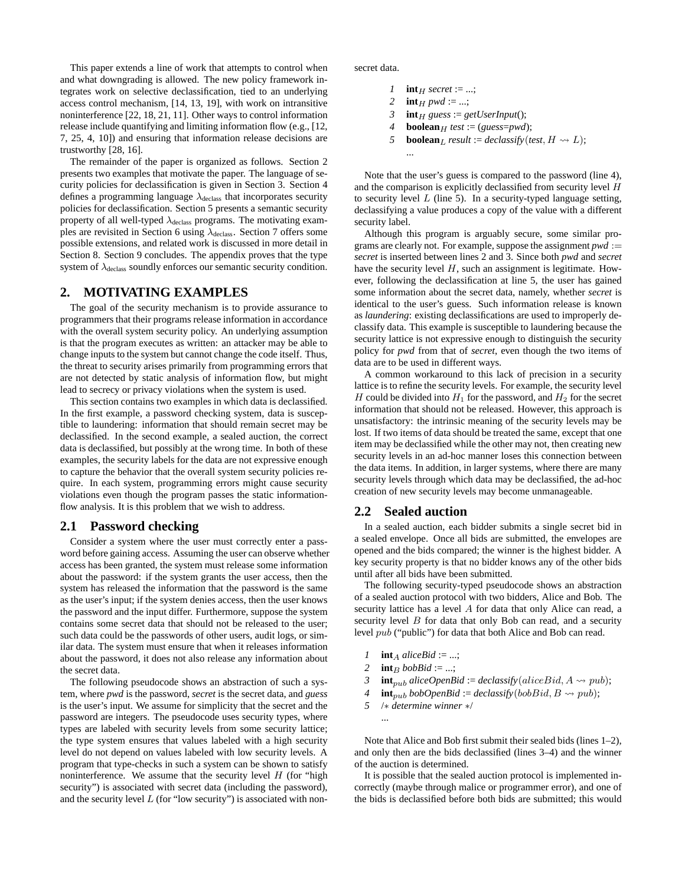This paper extends a line of work that attempts to control when and what downgrading is allowed. The new policy framework integrates work on selective declassification, tied to an underlying access control mechanism, [14, 13, 19], with work on intransitive noninterference [22, 18, 21, 11]. Other ways to control information release include quantifying and limiting information flow (e.g., [12, 7, 25, 4, 10]) and ensuring that information release decisions are trustworthy [28, 16].

The remainder of the paper is organized as follows. Section 2 presents two examples that motivate the paper. The language of security policies for declassification is given in Section 3. Section 4 defines a programming language  $\lambda_{\text{declass}}$  that incorporates security policies for declassification. Section 5 presents a semantic security property of all well-typed  $\lambda_{\text{declass}}$  programs. The motivating examples are revisited in Section 6 using  $\lambda_{\text{declass}}$ . Section 7 offers some possible extensions, and related work is discussed in more detail in Section 8. Section 9 concludes. The appendix proves that the type system of  $\lambda_{\text{declass}}$  soundly enforces our semantic security condition.

## **2. MOTIVATING EXAMPLES**

The goal of the security mechanism is to provide assurance to programmers that their programs release information in accordance with the overall system security policy. An underlying assumption is that the program executes as written: an attacker may be able to change inputs to the system but cannot change the code itself. Thus, the threat to security arises primarily from programming errors that are not detected by static analysis of information flow, but might lead to secrecy or privacy violations when the system is used.

This section contains two examples in which data is declassified. In the first example, a password checking system, data is susceptible to laundering: information that should remain secret may be declassified. In the second example, a sealed auction, the correct data is declassified, but possibly at the wrong time. In both of these examples, the security labels for the data are not expressive enough to capture the behavior that the overall system security policies require. In each system, programming errors might cause security violations even though the program passes the static informationflow analysis. It is this problem that we wish to address.

## **2.1 Password checking**

Consider a system where the user must correctly enter a password before gaining access. Assuming the user can observe whether access has been granted, the system must release some information about the password: if the system grants the user access, then the system has released the information that the password is the same as the user's input; if the system denies access, then the user knows the password and the input differ. Furthermore, suppose the system contains some secret data that should not be released to the user; such data could be the passwords of other users, audit logs, or similar data. The system must ensure that when it releases information about the password, it does not also release any information about the secret data.

The following pseudocode shows an abstraction of such a system, where *pwd* is the password, *secret* is the secret data, and *guess* is the user's input. We assume for simplicity that the secret and the password are integers. The pseudocode uses security types, where types are labeled with security levels from some security lattice; the type system ensures that values labeled with a high security level do not depend on values labeled with low security levels. A program that type-checks in such a system can be shown to satisfy noninterference. We assume that the security level  $H$  (for "high security") is associated with secret data (including the password), and the security level  $L$  (for "low security") is associated with nonsecret data.

- *l* **int** $_H$  *secret* := ...;
- 2 **int**<sub>H</sub>  $pwd := ...;$

...

- 3 **int** $_H$  *guess* := *getUserInput*();
- 4 **boolean**  $H$  *test* := (*guess*=*pwd*);
- **5 boolean**<sub>L</sub> result := *declassify*(*test*,  $H \rightsquigarrow L$ );

Note that the user's guess is compared to the password (line 4), and the comparison is explicitly declassified from security level  $H$ to security level  $L$  (line 5). In a security-typed language setting, declassifying a value produces a copy of the value with a different security label.

Although this program is arguably secure, some similar programs are clearly not. For example, suppose the assignment  $pwd :=$ *secret* is inserted between lines 2 and 3. Since both *pwd* and *secret* have the security level  $H$ , such an assignment is legitimate. However, following the declassification at line 5, the user has gained some information about the secret data, namely, whether *secret* is identical to the user's guess. Such information release is known as *laundering*: existing declassifications are used to improperly declassify data. This example is susceptible to laundering because the security lattice is not expressive enough to distinguish the security policy for *pwd* from that of *secret*, even though the two items of data are to be used in different ways.

A common workaround to this lack of precision in a security lattice is to refine the security levels. For example, the security level H could be divided into  $H_1$  for the password, and  $H_2$  for the secret information that should not be released. However, this approach is unsatisfactory: the intrinsic meaning of the security levels may be lost. If two items of data should be treated the same, except that one item may be declassified while the other may not, then creating new security levels in an ad-hoc manner loses this connection between the data items. In addition, in larger systems, where there are many security levels through which data may be declassified, the ad-hoc creation of new security levels may become unmanageable.

## **2.2 Sealed auction**

In a sealed auction, each bidder submits a single secret bid in a sealed envelope. Once all bids are submitted, the envelopes are opened and the bids compared; the winner is the highest bidder. A key security property is that no bidder knows any of the other bids until after all bids have been submitted.

The following security-typed pseudocode shows an abstraction of a sealed auction protocol with two bidders, Alice and Bob. The security lattice has a level A for data that only Alice can read, a security level  $B$  for data that only Bob can read, and a security level pub ("public") for data that both Alice and Bob can read.

- *1* **int**<sub>A</sub> *aliceBid* := ...;
- 2 **int**<sub>B</sub> *bobBid* := ...;

...

- 3 **int**<sub>pub</sub> aliceOpenBid := *declassify*(aliceBid,  $A \rightsquigarrow pub)$ ;
- 4 **int**<sub>pub</sub> *bobOpenBid* := *declassify*(*bobBid, B*  $\rightarrow$  *pub*);
- *5* /∗ *determine winner* ∗/

Note that Alice and Bob first submit their sealed bids (lines 1–2), and only then are the bids declassified (lines 3–4) and the winner of the auction is determined.

It is possible that the sealed auction protocol is implemented incorrectly (maybe through malice or programmer error), and one of the bids is declassified before both bids are submitted; this would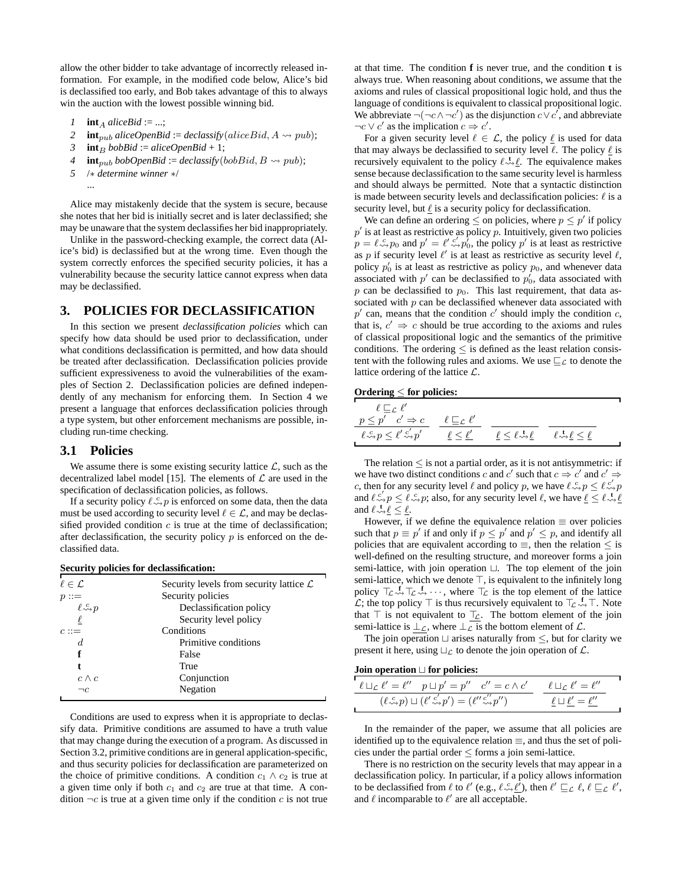allow the other bidder to take advantage of incorrectly released information. For example, in the modified code below, Alice's bid is declassified too early, and Bob takes advantage of this to always win the auction with the lowest possible winning bid.

- *1* **int**<sub>A</sub> *aliceBid* := ...;<br>2 **int**<sub>nub</sub> aliceOpenBia
- 2 **int**<sub>pub</sub> aliceOpenBid := *declassify*(aliceBid,  $A \rightsquigarrow pub)$ ;<br>3 **int**<sub>R</sub> bobBid := aliceOpenBid + 1;
- 3 **int**<sub>B</sub> *bobBid* := *aliceOpenBid* + 1;<br>4 **int**<sub>pub</sub> *bobOpenBid* := *declassify*(*l*)
- $\int \int_{\text{int}_{\text{sub}}$  *bobOpenBid* := *declassify*(*bobBid, B*  $\sim$  *pub*);
- *5* /∗ *determine winner* ∗/
	- ...

Alice may mistakenly decide that the system is secure, because she notes that her bid is initially secret and is later declassified; she may be unaware that the system declassifies her bid inappropriately.

Unlike in the password-checking example, the correct data (Alice's bid) is declassified but at the wrong time. Even though the system correctly enforces the specified security policies, it has a vulnerability because the security lattice cannot express when data may be declassified.

## **3. POLICIES FOR DECLASSIFICATION**

In this section we present *declassification policies* which can specify how data should be used prior to declassification, under what conditions declassification is permitted, and how data should be treated after declassification. Declassification policies provide sufficient expressiveness to avoid the vulnerabilities of the examples of Section 2. Declassification policies are defined independently of any mechanism for enforcing them. In Section 4 we present a language that enforces declassification policies through a type system, but other enforcement mechanisms are possible, including run-time checking.

## **3.1 Policies**

We assume there is some existing security lattice  $\mathcal{L}$ , such as the decentralized label model [15]. The elements of  $\mathcal L$  are used in the specification of declassification policies, as follows.

If a security policy  $\ell \stackrel{c}{\leadsto} p$  is enforced on some data, then the data must be used according to security level  $\ell \in \mathcal{L}$ , and may be declassified provided condition  $c$  is true at the time of declassification; after declassification, the security policy  $p$  is enforced on the declassified data.

| <sub>.</sub>                   |                                                                          |
|--------------------------------|--------------------------------------------------------------------------|
| $\ell \in \mathcal{L}$         | Security levels from security lattice $\mathcal{L}$<br>Security policies |
| $p ::=$                        |                                                                          |
| $\ell \overset{c}{\leadsto} p$ | Declassification policy                                                  |
|                                | Security level policy                                                    |
| $c ::=$                        | Conditions                                                               |
| d                              | Primitive conditions                                                     |
|                                | False                                                                    |
| t                              | True                                                                     |
| $c \wedge c$                   | Conjunction                                                              |
| $\neg c$                       | Negation                                                                 |
|                                |                                                                          |

**Security policies for declassification:**

Conditions are used to express when it is appropriate to declassify data. Primitive conditions are assumed to have a truth value that may change during the execution of a program. As discussed in Section 3.2, primitive conditions are in general application-specific, and thus security policies for declassification are parameterized on the choice of primitive conditions. A condition  $c_1 \wedge c_2$  is true at a given time only if both  $c_1$  and  $c_2$  are true at that time. A condition  $\neg c$  is true at a given time only if the condition c is not true at that time. The condition **f** is never true, and the condition **t** is always true. When reasoning about conditions, we assume that the axioms and rules of classical propositional logic hold, and thus the language of conditions is equivalent to classical propositional logic. We abbreviate  $\neg(\neg c \land \neg c')$  as the disjunction  $c \lor c'$ , and abbreviate  $\neg c \lor c'$  as the implication  $c \Rightarrow c'$ .

For a given security level  $\ell \in \mathcal{L}$ , the policy  $\ell$  is used for data that may always be declassified to security level  $\ell$ . The policy  $\ell$  is recursively equivalent to the policy  $\ell \rightarrow \ell$ . The equivalence makes sense because declassification to the same security level is harmless and should always be permitted. Note that a syntactic distinction is made between security levels and declassification policies:  $\ell$  is a security level, but  $\ell$  is a security policy for declassification.

We can define an ordering  $\leq$  on policies, where  $p \leq p'$  if policy  $p'$  is at least as restrictive as policy p. Intuitively, given two policies  $p = \ell \stackrel{c}{\leadsto} p_0$  and  $p' = \ell' \stackrel{c'}{\leadsto} p'_0$ , the policy p' is at least as restrictive as p if security level  $\ell'$  is at least as restrictive as security level  $\ell$ , policy  $p'_0$  is at least as restrictive as policy  $p_0$ , and whenever data associated with  $p'$  can be declassified to  $p'_0$ , data associated with  $p$  can be declassified to  $p_0$ . This last requirement, that data associated with  $p$  can be declassified whenever data associated with  $p'$  can, means that the condition  $c'$  should imply the condition  $c$ , that is,  $c' \Rightarrow c$  should be true according to the axioms and rules of classical propositional logic and the semantics of the primitive conditions. The ordering  $\leq$  is defined as the least relation consistent with the following rules and axioms. We use  $\sqsubseteq_{\mathcal{L}}$  to denote the lattice ordering of the lattice  $\mathcal{L}$ .

#### **Ordering** ≤ **for policies:**

| $\ell \sqsubset_{\mathcal{L}} \ell'$                                  |                   |                                                                     |  |
|-----------------------------------------------------------------------|-------------------|---------------------------------------------------------------------|--|
| $p \leq p'$ $c' \Rightarrow c$ $\ell \sqsubseteq_{\mathcal{L}} \ell'$ |                   |                                                                     |  |
| $\ell \overset{c}{\leadsto} p \leq \ell' \overset{c'}{\leadsto} p'$   | $\ell \leq \ell'$ | $\ell \leq \ell \rightarrow \ell$ $\ell \rightarrow \ell \leq \ell$ |  |

The relation  $\leq$  is not a partial order, as it is not antisymmetric: if we have two distinct conditions c and c' such that  $c \Rightarrow c'$  and  $c' \Rightarrow$ c, then for any security level  $\ell$  and policy p, we have  $\ell \stackrel{c}{\leadsto} p \leq \ell \stackrel{c'}{\leadsto} p$ and  $\ell \stackrel{c'}{\leadsto} p \leq \ell \stackrel{c}{\leadsto} p$ ; also, for any security level  $\ell$ , we have  $\ell \leq \ell \stackrel{t}{\leadsto} \ell$ and  $\ell \rightarrow \ell \leq \ell$ .

However, if we define the equivalence relation  $\equiv$  over policies such that  $p \equiv p'$  if and only if  $p \leq p'$  and  $p' \leq p$ , and identify all policies that are equivalent according to  $\equiv$ , then the relation  $\leq$  is well-defined on the resulting structure, and moreover forms a join semi-lattice, with join operation  $\sqcup$ . The top element of the join semi-lattice, which we denote  $\top$ , is equivalent to the infinitely long policy  $\top_{\mathcal{L}} \overset{\mathbf{f}}{\rightsquigarrow} \top_{\mathcal{L}} \overset{\mathbf{f}}{\rightsquigarrow} \cdots$ , where  $\top_{\mathcal{L}}$  is the top element of the lattice  $\mathcal{L}$ ; the top policy  $\top$  is thus recursively equivalent to  $\top_{\mathcal{L}} f$ ,  $\top$ . Note that  $\top$  is not equivalent to  $\top_c$ . The bottom element of the join semi-lattice is  $\perp_{\mathcal{L}}$ , where  $\perp_{\mathcal{L}}$  is the bottom element of  $\mathcal{L}$ .

The join operation  $\sqcup$  arises naturally from  $\leq$ , but for clarity we present it here, using  $L_c$  to denote the join operation of  $\mathcal{L}$ .

**Join operation**  $\sqcup$  for policies:

| $\ell \sqcup_{\mathcal{L}} \ell' = \ell'' \quad p \sqcup p' = p'' \quad c'' = c \wedge c'$                       | $\ell \sqcup_{\mathcal{L}} \ell' = \ell''$ |  |
|------------------------------------------------------------------------------------------------------------------|--------------------------------------------|--|
| $(\ell \overset{c}{\leadsto} p) \sqcup (\ell' \overset{c'}{\leadsto} p') = (\ell'' \overset{c''}{\leadsto} p'')$ | $\ell \sqcup \ell' = \ell''$               |  |

In the remainder of the paper, we assume that all policies are identified up to the equivalence relation  $\equiv$ , and thus the set of policies under the partial order  $\leq$  forms a join semi-lattice.

There is no restriction on the security levels that may appear in a declassification policy. In particular, if a policy allows information to be declassified from  $\ell$  to  $\ell'$  (e.g.,  $\ell \stackrel{c}{\leadsto} \ell'$ ), then  $\ell' \sqsubseteq_{\mathcal{L}} \ell$ ,  $\ell \sqsubseteq_{\mathcal{L}} \ell'$ , and  $\ell$  incomparable to  $\ell'$  are all acceptable.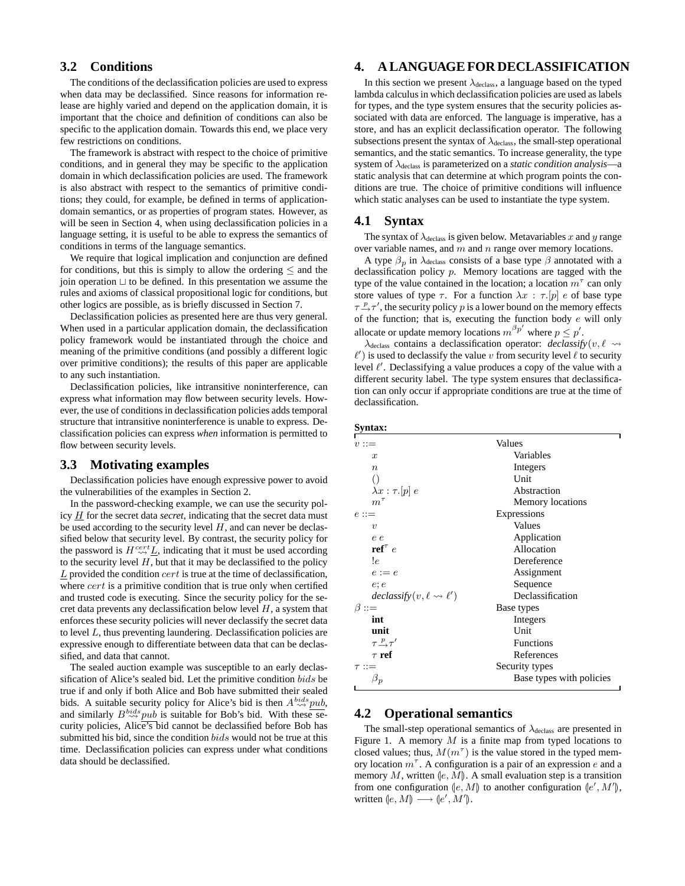## **3.2 Conditions**

The conditions of the declassification policies are used to express when data may be declassified. Since reasons for information release are highly varied and depend on the application domain, it is important that the choice and definition of conditions can also be specific to the application domain. Towards this end, we place very few restrictions on conditions.

The framework is abstract with respect to the choice of primitive conditions, and in general they may be specific to the application domain in which declassification policies are used. The framework is also abstract with respect to the semantics of primitive conditions; they could, for example, be defined in terms of applicationdomain semantics, or as properties of program states. However, as will be seen in Section 4, when using declassification policies in a language setting, it is useful to be able to express the semantics of conditions in terms of the language semantics.

We require that logical implication and conjunction are defined for conditions, but this is simply to allow the ordering  $\leq$  and the join operation  $\sqcup$  to be defined. In this presentation we assume the rules and axioms of classical propositional logic for conditions, but other logics are possible, as is briefly discussed in Section 7.

Declassification policies as presented here are thus very general. When used in a particular application domain, the declassification policy framework would be instantiated through the choice and meaning of the primitive conditions (and possibly a different logic over primitive conditions); the results of this paper are applicable to any such instantiation.

Declassification policies, like intransitive noninterference, can express what information may flow between security levels. However, the use of conditions in declassification policies adds temporal structure that intransitive noninterference is unable to express. Declassification policies can express *when* information is permitted to flow between security levels.

## **3.3 Motivating examples**

Declassification policies have enough expressive power to avoid the vulnerabilities of the examples in Section 2.

In the password-checking example, we can use the security policy H for the secret data *secret*, indicating that the secret data must be used according to the security level  $H$ , and can never be declassified below that security level. By contrast, the security policy for the password is  $H^{cert}_{\omega} \underline{L}$ , indicating that it must be used according to the security level  $H$ , but that it may be declassified to the policy  $L$  provided the condition *cert* is true at the time of declassification, where *cert* is a primitive condition that is true only when certified and trusted code is executing. Since the security policy for the secret data prevents any declassification below level  $H$ , a system that enforces these security policies will never declassify the secret data to level  $L$ , thus preventing laundering. Declassification policies are expressive enough to differentiate between data that can be declassified, and data that cannot.

The sealed auction example was susceptible to an early declassification of Alice's sealed bid. Let the primitive condition bids be true if and only if both Alice and Bob have submitted their sealed bids. A suitable security policy for Alice's bid is then  $A \stackrel{bids}{\leadsto} pub$ , and similarly  $B^{bids}_{\leftrightarrow}$  pub is suitable for Bob's bid. With these security policies, Alice's bid cannot be declassified before Bob has submitted his bid, since the condition bids would not be true at this time. Declassification policies can express under what conditions data should be declassified.

## **4. A LANGUAGE FOR DECLASSIFICATION**

In this section we present  $\lambda_{\text{declass}}$ , a language based on the typed lambda calculus in which declassification policies are used as labels for types, and the type system ensures that the security policies associated with data are enforced. The language is imperative, has a store, and has an explicit declassification operator. The following subsections present the syntax of  $\lambda_{\text{declass}}$ , the small-step operational semantics, and the static semantics. To increase generality, the type system of λdeclass is parameterized on a *static condition analysis*—a static analysis that can determine at which program points the conditions are true. The choice of primitive conditions will influence which static analyses can be used to instantiate the type system.

## **4.1 Syntax**

The syntax of  $\lambda_{\text{declass}}$  is given below. Metavariables x and y range over variable names, and  $m$  and  $n$  range over memory locations.

A type  $\beta_p$  in  $\lambda_{\text{declass}}$  consists of a base type  $\beta$  annotated with a declassification policy  $p$ . Memory locations are tagged with the type of the value contained in the location; a location  $m^{\tau}$  can only store values of type  $\tau$ . For a function  $\lambda x$  :  $\tau$ . [p] e of base type  $\tau \rightarrow \tau'$ , the security policy p is a lower bound on the memory effects of the function; that is, executing the function body  $e$  will only allocate or update memory locations  $m^{\beta p'}$  where  $p \leq p'$ .

 $\lambda_{\text{declass}}$  contains a declassification operator: *declassify* $(v, \ell \rightarrow$  $\ell'$ ) is used to declassify the value v from security level  $\ell$  to security level  $\ell'$ . Declassifying a value produces a copy of the value with a different security label. The type system ensures that declassification can only occur if appropriate conditions are true at the time of declassification.

| Svntax: |
|---------|
|---------|

| $v ::=$                                             | Values                   |
|-----------------------------------------------------|--------------------------|
| $\boldsymbol{x}$                                    | Variables                |
| $\boldsymbol{n}$                                    | Integers                 |
| $\left(\right)$                                     | Unit                     |
| $\lambda x : \tau$ [p] e                            | Abstraction              |
| $m^{\tau}$                                          | Memory locations         |
| $e ::=$                                             | Expressions              |
| $\boldsymbol{v}$                                    | Values                   |
| e e                                                 | Application              |
| ref $\tau$ e                                        | Allocation               |
| !e                                                  | Dereference              |
| $e := e$                                            | Assignment               |
| e; e                                                | Sequence                 |
| $\text{declassify}(v, \ell \rightsquigarrow \ell')$ | Declassification         |
| $\beta ::=$                                         | Base types               |
| int                                                 | Integers                 |
| unit                                                | Unit                     |
| $\tau \mathop{\rightarrow}\limits^p \tau'$          | <b>Functions</b>         |
| $\tau$ ref                                          | References               |
| $\tau ::=$                                          | Security types           |
| $\beta_{\bm p}$                                     | Base types with policies |
|                                                     |                          |

## **4.2 Operational semantics**

The small-step operational semantics of  $\lambda_{\text{declass}}$  are presented in Figure 1. A memory  $M$  is a finite map from typed locations to closed values; thus,  $M(m^{\tau})$  is the value stored in the typed memory location  $m^{\tau}$ . A configuration is a pair of an expression e and a memory M, written  $\{e, M\}$ . A small evaluation step is a transition from one configuration  $(e, M)$  to another configuration  $(e', M')$ , written  $\llbracket e, M \rrbracket \longrightarrow \llbracket e', M' \rrbracket.$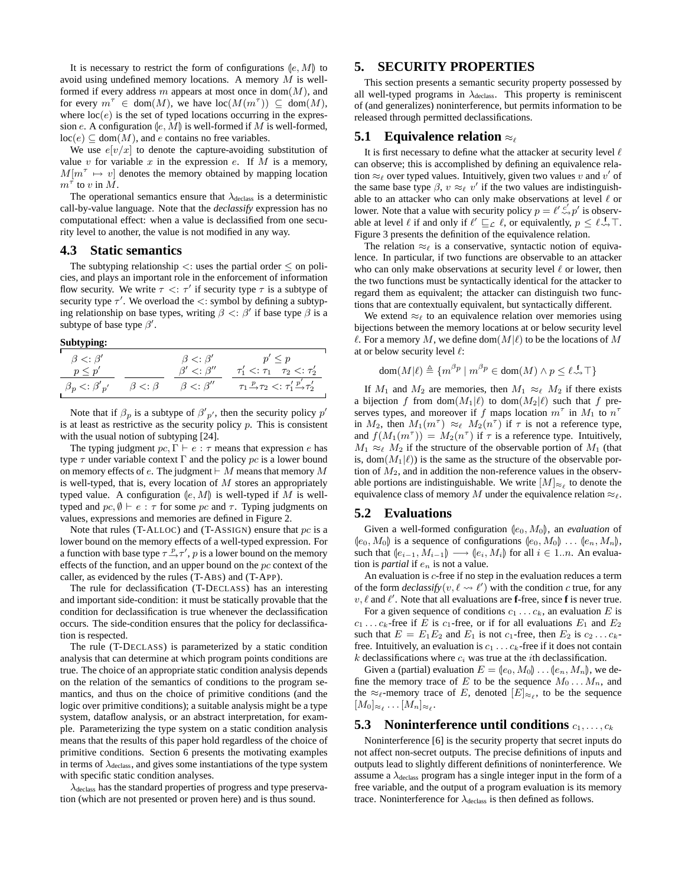It is necessary to restrict the form of configurations  $\langle e, M \rangle$  to avoid using undefined memory locations. A memory M is wellformed if every address  $m$  appears at most once in dom $(M)$ , and for every  $m^{\tau} \in \text{dom}(M)$ , we have  $\text{loc}(M(m^{\tau})) \subseteq \text{dom}(M)$ , where  $\text{loc}(e)$  is the set of typed locations occurring in the expression e. A configuration  $\langle e, M \rangle$  is well-formed if M is well-formed,  $loc(e) \subseteq dom(M)$ , and e contains no free variables.

We use  $e[v/x]$  to denote the capture-avoiding substitution of value v for variable x in the expression e. If  $M$  is a memory,  $M[m^{\tau} \mapsto v]$  denotes the memory obtained by mapping location  $m^{\tau}$  to v in  $M$ .

The operational semantics ensure that  $\lambda_{\text{declass}}$  is a deterministic call-by-value language. Note that the *declassify* expression has no computational effect: when a value is declassified from one security level to another, the value is not modified in any way.

## **4.3 Static semantics**

The subtyping relationship  $\lt$ : uses the partial order  $\lt$  on policies, and plays an important role in the enforcement of information flow security. We write  $\tau < \tau'$  if security type  $\tau$  is a subtype of security type  $\tau'$ . We overload the  $\lt$ : symbol by defining a subtyping relationship on base types, writing  $\beta \leq \beta'$  if base type  $\beta$  is a subtype of base type  $\beta'$ .

#### **Subtyping:**

| $\beta \leq : \beta'$      |                      | $\beta$ <: $\beta'$   | $p' \leq p$                                                           |
|----------------------------|----------------------|-----------------------|-----------------------------------------------------------------------|
| $p \leq p'$                |                      | $\beta' \lt: \beta''$ | $\tau_1' \lt: \tau_1 \quad \tau_2 \lt: \tau_2'$                       |
| $\beta_p \lt: \beta'_{p'}$ | $\beta \leq : \beta$ | $\beta$ <: $\beta''$  | $\tau_1 \xrightarrow{p} \tau_2 \lt: \tau_1' \xrightarrow{p'} \tau_2'$ |

Note that if  $\beta_p$  is a subtype of  $\beta'_p$ , then the security policy  $p'$ is at least as restrictive as the security policy  $p$ . This is consistent with the usual notion of subtyping [24].

The typing judgment  $pc$ ,  $\Gamma \vdash e : \tau$  means that expression e has type  $\tau$  under variable context  $\Gamma$  and the policy  $pc$  is a lower bound on memory effects of e. The judgment  $\vdash M$  means that memory M is well-typed, that is, every location of  $M$  stores an appropriately typed value. A configuration  $\langle e, M \rangle$  is well-typed if M is welltyped and  $pc, \emptyset \vdash e : \tau$  for some pc and  $\tau$ . Typing judgments on values, expressions and memories are defined in Figure 2.

Note that rules (T-ALLOC) and (T-ASSIGN) ensure that  $pc$  is a lower bound on the memory effects of a well-typed expression. For a function with base type  $\tau \stackrel{p}{\rightarrow} \tau'$ , p is a lower bound on the memory effects of the function, and an upper bound on the  $pc$  context of the caller, as evidenced by the rules (T-ABS) and (T-APP).

The rule for declassification (T-DECLASS) has an interesting and important side-condition: it must be statically provable that the condition for declassification is true whenever the declassification occurs. The side-condition ensures that the policy for declassification is respected.

The rule (T-DECLASS) is parameterized by a static condition analysis that can determine at which program points conditions are true. The choice of an appropriate static condition analysis depends on the relation of the semantics of conditions to the program semantics, and thus on the choice of primitive conditions (and the logic over primitive conditions); a suitable analysis might be a type system, dataflow analysis, or an abstract interpretation, for example. Parameterizing the type system on a static condition analysis means that the results of this paper hold regardless of the choice of primitive conditions. Section 6 presents the motivating examples in terms of  $\lambda_{\text{declass}}$ , and gives some instantiations of the type system with specific static condition analyses.

 $\lambda_{\text{declass}}$  has the standard properties of progress and type preservation (which are not presented or proven here) and is thus sound.

## **5. SECURITY PROPERTIES**

This section presents a semantic security property possessed by all well-typed programs in  $\lambda_{\text{declass}}$ . This property is reminiscent of (and generalizes) noninterference, but permits information to be released through permitted declassifications.

## **5.1 Equivalence relation**  $\approx_{\ell}$

It is first necessary to define what the attacker at security level  $\ell$ can observe; this is accomplished by defining an equivalence relation  $\approx_{\ell}$  over typed values. Intuitively, given two values v and v' of the same base type  $\beta$ ,  $v \approx_{\ell} v'$  if the two values are indistinguishable to an attacker who can only make observations at level  $\ell$  or lower. Note that a value with security policy  $p = \ell' \stackrel{c'}{\leadsto} p'$  is observable at level  $\ell$  if and only if  $\ell' \sqsubseteq_{\mathcal{L}} \ell$ , or equivalently,  $p \leq \ell \rightarrow^{\mathbf{f}} T$ . Figure 3 presents the definition of the equivalence relation.

The relation  $\approx_{\ell}$  is a conservative, syntactic notion of equivalence. In particular, if two functions are observable to an attacker who can only make observations at security level  $\ell$  or lower, then the two functions must be syntactically identical for the attacker to regard them as equivalent; the attacker can distinguish two functions that are contextually equivalent, but syntactically different.

We extend  $\approx_{\ell}$  to an equivalence relation over memories using bijections between the memory locations at or below security level  $\ell$ . For a memory M, we define dom $(M|\ell)$  to be the locations of M at or below security level  $\ell$ :

$$
\text{dom}(M|\ell) \triangleq \{m^{\beta p} \mid m^{\beta p} \in \text{dom}(M) \land p \leq \ell \stackrel{\mathbf{f}}{\rightsquigarrow} \top\}
$$

If  $M_1$  and  $M_2$  are memories, then  $M_1 \approx_{\ell} M_2$  if there exists a bijection f from dom $(M_1|\ell)$  to dom $(M_2|\ell)$  such that f preserves types, and moreover if f maps location  $m^{\tau}$  in  $M_1$  to  $n^{\tau}$ in  $M_2$ , then  $M_1(m^{\tau}) \approx_{\ell} M_2(n^{\tau})$  if  $\tau$  is not a reference type, and  $f(M_1(m^{\tau})) = M_2(n^{\tau})$  if  $\tau$  is a reference type. Intuitively,  $M_1 \approx_{\ell} M_2$  if the structure of the observable portion of  $M_1$  (that is, dom $(M_1|\ell)$ ) is the same as the structure of the observable portion of  $M_2$ , and in addition the non-reference values in the observable portions are indistinguishable. We write  $[M]_{\approx_{\ell}}$  to denote the equivalence class of memory M under the equivalence relation  $\approx_{\ell}$ .

## **5.2 Evaluations**

Given a well-formed configuration  $(e_0, M_0)$ , an *evaluation* of  $\langle e_0, M_0 \rangle$  is a sequence of configurations  $\langle e_0, M_0 \rangle$  ...  $\langle e_n, M_n \rangle$ , such that  $\langle e_{i-1}, M_{i-1} \rangle \longrightarrow \langle e_i, M_i \rangle$  for all  $i \in 1..n$ . An evaluation is *partial* if  $e_n$  is not a value.

An evaluation is c-free if no step in the evaluation reduces a term of the form *declassify* $(v, \ell \leadsto \ell')$  with the condition c true, for any  $v, \ell$  and  $\ell'$ . Note that all evaluations are **f**-free, since **f** is never true.

For a given sequence of conditions  $c_1 \dots c_k$ , an evaluation E is  $c_1 \ldots c_k$ -free if E is  $c_1$ -free, or if for all evaluations  $E_1$  and  $E_2$ such that  $E = E_1 E_2$  and  $E_1$  is not  $c_1$ -free, then  $E_2$  is  $c_2 \ldots c_k$ free. Intuitively, an evaluation is  $c_1 \ldots c_k$ -free if it does not contain  $k$  declassifications where  $c_i$  was true at the *i*th declassification.

Given a (partial) evaluation  $E = (e_0, M_0) \dots (e_n, M_n)$ , we define the memory trace of E to be the sequence  $M_0 \dots M_n$ , and the  $\approx_{\ell}$ -memory trace of E, denoted  $[E]_{\approx_{\ell}}$ , to be the sequence  $[M_0]_{\approx_{\ell}} \ldots [M_n]_{\approx_{\ell}}.$ 

## **5.3** Noninterference until conditions  $c_1, \ldots, c_k$

Noninterference [6] is the security property that secret inputs do not affect non-secret outputs. The precise definitions of inputs and outputs lead to slightly different definitions of noninterference. We assume a  $\lambda_{\text{declass}}$  program has a single integer input in the form of a free variable, and the output of a program evaluation is its memory trace. Noninterference for  $\lambda_{\text{declass}}$  is then defined as follows.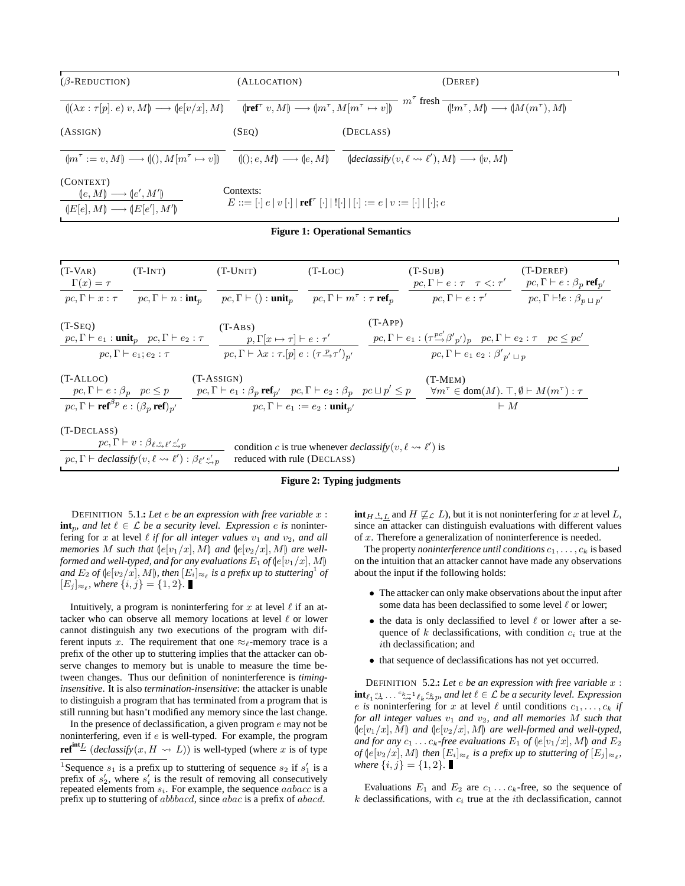| $(\beta$ -REDUCTION)                                                                                                                                                                                                                                                                                                                                                                                                      | (ALLOCATION)                                                                    |                                                                                                                     | (DEREF)                                                         |             |
|---------------------------------------------------------------------------------------------------------------------------------------------------------------------------------------------------------------------------------------------------------------------------------------------------------------------------------------------------------------------------------------------------------------------------|---------------------------------------------------------------------------------|---------------------------------------------------------------------------------------------------------------------|-----------------------------------------------------------------|-------------|
| $(\lambda x : \tau[p], e) v, M) \longrightarrow [e[v/x], M] \longrightarrow [\text{ref}^{\tau} v, M] \longrightarrow [m^{\tau}, M[m^{\tau} \mapsto v]] \longrightarrow m^{\tau} \text{ fresh} \longrightarrow (M[m^{\tau}, M] \longrightarrow (M(m^{\tau}), M])$                                                                                                                                                          |                                                                                 |                                                                                                                     |                                                                 |             |
| (ASSIGN)                                                                                                                                                                                                                                                                                                                                                                                                                  | (SEQ)                                                                           | (DECLASS)                                                                                                           |                                                                 |             |
| $\langle m^{\tau} := v, M \rangle \longrightarrow \langle (1), M[m^{\tau} \mapsto v] \rangle$ $\langle (1), e, M \rangle \longrightarrow \langle e, M \rangle$ $\langle declassify(v, \ell \leadsto \ell'), M \rangle \longrightarrow \langle v, M \rangle$                                                                                                                                                               |                                                                                 |                                                                                                                     |                                                                 |             |
| (CONTEXT)<br>$\langle e, M \rangle \longrightarrow \langle e', M' \rangle$<br>$(E[e], M) \longrightarrow (E[e'], M')$                                                                                                                                                                                                                                                                                                     | Contexts:                                                                       | $E ::= [\cdot   e   v [\cdot]   \mathbf{ref}^{\tau} [\cdot]   ! [\cdot]   [\cdot] := e   v := [\cdot]   [\cdot]; e$ |                                                                 |             |
|                                                                                                                                                                                                                                                                                                                                                                                                                           |                                                                                 | <b>Figure 1: Operational Semantics</b>                                                                              |                                                                 |             |
| $(T-INT)$<br>$(T-VAR)$                                                                                                                                                                                                                                                                                                                                                                                                    | $(T-UNIT)$                                                                      | $(T-LOC)$                                                                                                           | $(T-SUB)$                                                       | $(T-DEREF)$ |
| $\frac{\Gamma(x) = \tau}{pc, \Gamma \vdash x : \tau}$ $\frac{\Gamma(x) = \tau}{pc, \Gamma \vdash x : \tau}$ $\frac{\Gamma(x) = \tau}{pc, \Gamma \vdash n : \text{int}_p}$ $\frac{\Gamma(x) = \tau}{pc, \Gamma \vdash n : \text{int}_p}$ $\frac{\Gamma(x) = \tau}{pc, \Gamma \vdash x : \tau}$ $\frac{\Gamma(x) = \tau}{pc, \Gamma \vdash e : \tau}$ $\frac{\Gamma(x) = \tau}{pc, \Gamma \vdash e : \beta_p \text{ref}_p}$ |                                                                                 |                                                                                                                     |                                                                 |             |
| $(T-SEO)$<br>$\label{eq:2} \frac{\rho}{\rho} \rho, \Gamma \vdash e_1: \text{unit}_p \quad pc, \Gamma \vdash e_2: \tau \qquad \qquad p, \Gamma[x \mapsto \tau] \vdash e: \tau' \qquad \qquad \frac{\rho}{\rho} \rho, \Gamma \vdash e_1: (\tau \mathop{\rightharpoonup}^{pc'} \beta'_{p'})_p \quad pc, \Gamma \vdash e_2: \tau \quad pc \leq pc'$                                                                           | $(T-ABS)$                                                                       | $(T-APP)$                                                                                                           |                                                                 |             |
| $pc, \Gamma \vdash e_1; e_2 : \tau$                                                                                                                                                                                                                                                                                                                                                                                       | $pc, \Gamma \vdash \lambda x : \tau . [p] e : (\tau \rightarrow {\tau'} )_{n'}$ |                                                                                                                     | $pc, \Gamma \vdash e_1 \ e_2 : \beta'_{n' + \lfloor n \rfloor}$ |             |
| $(T-ALLOC)$<br>F-ALLOC)<br>$pc, \Gamma \vdash e : \beta_p$ $pc \leq p$ (T-ASSIGN)<br>$pc, \Gamma \vdash e : \beta_p$ $pc \leq p$ $pc, \Gamma \vdash e_1 : \beta_p$ ref <sub>p'</sub> $pc, \Gamma \vdash e_2 : \beta_p$ $pc \sqcup p' \leq p$ (T-MEM)<br>$\forall m^{\tau} \in \text{dom}(M)$ . $\top, \emptyset \vdash M(m^{\tau}) : \tau$                                                                                |                                                                                 |                                                                                                                     |                                                                 |             |
| $\overline{pc, \Gamma} \vdash \mathbf{ref}^{\beta p} e : (\beta_p \mathbf{ref})_{p'}$                                                                                                                                                                                                                                                                                                                                     | $pc, \Gamma \vdash e_1 := e_2 : \textbf{unit}_{n'}$                             |                                                                                                                     | $\vdash M$                                                      |             |
| $(T-DECLASS)$<br>$pc, \Gamma \vdash v : \beta_{\ell} \overset{c}{\leadsto} \ell' \overset{c'}{\leadsto} p$<br>$pc, \Gamma \vdash$ declassify $(v, \ell \leadsto \ell') : \beta_{\ell' c' n}$                                                                                                                                                                                                                              | reduced with rule (DECLASS)                                                     | condition c is true whenever <i>declassify</i> $(v, \ell \leadsto \ell')$ is                                        |                                                                 |             |

### **Figure 2: Typing judgments**

DEFINITION 5.1.**:** *Let* e *be an expression with free variable* x : **int**<sub>p</sub>, and let  $\ell \in \mathcal{L}$  be a security level. Expression e is noninterfering for x at level  $\ell$  *if for all integer values*  $v_1$  *and*  $v_2$ *, and all memories* M such that  $\{e[v_1/x], M\}$  and  $\{e[v_2/x], M\}$  are well*formed and well-typed, and for any evaluations*  $E_1$  *of*  $\left(\sqrt{e}[v_1/x], M\right)$ *and*  $E_2$  *of*  $\left[\e[v_2/x], M\right]$ *, then*  $\left[E_i\right]_{\approx \ell}$  *is a prefix up to stuttering*<sup>1</sup> *of*  $[E_j]_{\approx_{\ell}}$ , where  $\{i, j\} = \{1, 2\}.$ 

Intuitively, a program is noninterfering for x at level  $\ell$  if an attacker who can observe all memory locations at level  $\ell$  or lower cannot distinguish any two executions of the program with different inputs x. The requirement that one  $\approx_{\ell}$ -memory trace is a prefix of the other up to stuttering implies that the attacker can observe changes to memory but is unable to measure the time between changes. Thus our definition of noninterference is *timinginsensitive*. It is also *termination-insensitive*: the attacker is unable to distinguish a program that has terminated from a program that is still running but hasn't modified any memory since the last change.

In the presence of declassification, a given program e may not be noninterfering, even if  $e$  is well-typed. For example, the program **ref**<sup>int</sup> $\angle$  (*declassify*(x, H  $\leadsto$  L)) is well-typed (where x is of type **int** $H \rvert_{\mathcal{L}_t} L$  and  $H \rvert_{\mathcal{L}_t} L$ ), but it is not noninterfering for x at level L, since an attacker can distinguish evaluations with different values of x. Therefore a generalization of noninterference is needed.

The property *noninterference until conditions*  $c_1, \ldots, c_k$  is based on the intuition that an attacker cannot have made any observations about the input if the following holds:

- The attacker can only make observations about the input after some data has been declassified to some level  $\ell$  or lower;
- the data is only declassified to level  $\ell$  or lower after a sequence of  $k$  declassifications, with condition  $c_i$  true at the ith declassification; and
- that sequence of declassifications has not yet occurred.

DEFINITION 5.2.**:** *Let* e *be an expression with free variable* x :  $\text{int}_{\ell_1 \stackrel{c_1}{\leadsto} \cdots \stackrel{c_{k-1}}{\leadsto} \ell_k \stackrel{c_k}{\leadsto} p$ , and let  $\ell \in \mathcal{L}$  be a security level. Expression e *is* noninterfering for x at level  $\ell$  until conditions  $c_1, \ldots, c_k$  *if for all integer values*  $v_1$  *and*  $v_2$ *, and all memories* M *such that*  $\{e[v_1/x], M\}$  and  $\{e[v_2/x], M\}$  are well-formed and well-typed, *and for any*  $c_1 \ldots c_k$ -free evaluations  $E_1$  of  $\left[\exp\left(\frac{x_1}{x}\right), M\right)$  and  $E_2$ *of*  $\left[\exp\{v_2/x\}, M\right]$  *then*  $\left[E_i\right]_{\approx_\ell}$  *is a prefix up to stuttering of*  $\left[E_j\right]_{\approx_\ell}$ *,* where  $\{i, j\} = \{1, 2\}$ *where*  $\{i, j\} = \{1, 2\}$ .

Evaluations  $E_1$  and  $E_2$  are  $c_1 \ldots c_k$ -free, so the sequence of  $k$  declassifications, with  $c_i$  true at the *i*th declassification, cannot

<sup>&</sup>lt;sup>1</sup>Sequence  $s_1$  is a prefix up to stuttering of sequence  $s_2$  if  $s'_1$  is a prefix of  $s'_2$ , where  $s'_i$  is the result of removing all consecutively repeated elements from  $s_i$ . For example, the sequence  $aabacc$  is a prefix up to stuttering of abbbacd, since abac is a prefix of abacd.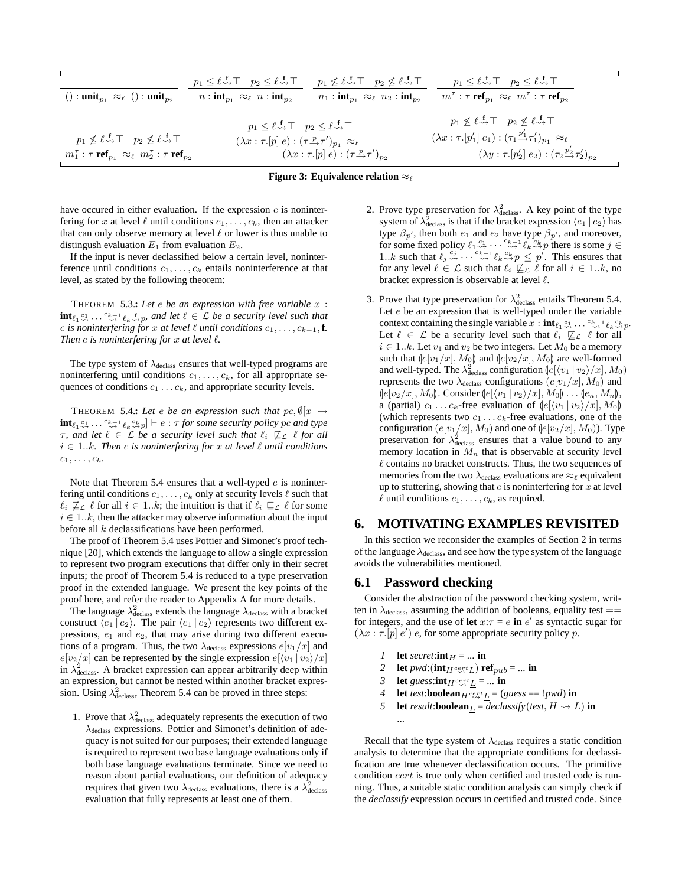| () : $\textbf{unit}_{p_1} \approx_{\ell}$ () : $\textbf{unit}_{p_2}$                                                                                                                                                                | $p_1 \leq \ell \stackrel{\mathbf{f}}{\leadsto} \top$ $p_2 \leq \ell \stackrel{\mathbf{f}}{\leadsto} \top$                                    | $p_1 \nleq \ell \stackrel{\mathbf{f}}{\rightsquigarrow} \top$ $p_2 \nleq \ell \stackrel{\mathbf{f}}{\rightsquigarrow} \top$ | $p_1 \leq \ell \stackrel{\mathbf{f}}{\leadsto} \top$ $p_2 \leq \ell \stackrel{\mathbf{f}}{\leadsto} \top$                                                                                                                                                                                         |
|-------------------------------------------------------------------------------------------------------------------------------------------------------------------------------------------------------------------------------------|----------------------------------------------------------------------------------------------------------------------------------------------|-----------------------------------------------------------------------------------------------------------------------------|---------------------------------------------------------------------------------------------------------------------------------------------------------------------------------------------------------------------------------------------------------------------------------------------------|
|                                                                                                                                                                                                                                     | $n: \textbf{int}_{p_1} \approx_{\ell} n: \textbf{int}_{p_2}$                                                                                 | $n_1$ : $\text{int}_{p_1} \approx_{\ell} n_2$ : $\text{int}_{p_2}$                                                          | $m^{\tau}$ : $\tau$ ref <sub>p<sub>1</sub></sub> $\approx_{\ell} m^{\tau}$ : $\tau$ ref <sub>p<sub>2</sub></sub>                                                                                                                                                                                  |
| $p_1 \nleq \ell \stackrel{\mathbf{f}}{\leadsto} \top$ $p_2 \nleq \ell \stackrel{\mathbf{f}}{\leadsto} \top$<br>$m_1^{\tau}$ : $\tau$ ref <sub>p<sub>1</sub></sub> $\approx_{\ell} m_2^{\tau}$ : $\tau$ ref <sub>p<sub>2</sub></sub> | $p_1 \leq \ell \sqrt[4]{\pi}$ $p_2 \leq \ell \sqrt[4]{\pi}$<br>$(\lambda x : \tau.[p] e) : (\tau \rightarrow{\mathcal{T}}')_{p_1} \approx_e$ | $(\lambda x : \tau. [p] e) : (\tau \rightarrow {\tau'} )_{p_2}$                                                             | $p_1 \nleq \ell \stackrel{\mathbf{f}}{\leadsto} \top$ $p_2 \nleq \ell \stackrel{\mathbf{f}}{\leadsto} \top$<br>$(\lambda x : \tau.[p'_1] e_1):(\tau_1 \mathop{\to}\limits^{p'_1} \tau'_1)_{p_1} \approx_{\ell}$<br>$(\lambda y:\tau.[p_2']\;e_2):(\tau_2\mathop{\to}\limits^{p_2'}\tau_2')_{p_2}$ |

#### **Figure 3: Equivalence relation**  $\approx_{\ell}$

have occured in either evaluation. If the expression  $e$  is noninterfering for x at level  $\ell$  until conditions  $c_1, \ldots, c_k$ , then an attacker that can only observe memory at level  $\ell$  or lower is thus unable to distingush evaluation  $E_1$  from evaluation  $E_2$ .

If the input is never declassified below a certain level, noninterference until conditions  $c_1, \ldots, c_k$  entails noninterference at that level, as stated by the following theorem:

THEOREM 5.3.**:** *Let* e *be an expression with free variable* x :  $\text{int}_{\ell_1} \mathcal{L}_1^1 \dots \mathcal{L}_{\infty}^{k-1} \ell_k \mathcal{L}_{\infty}^{\mathfrak{g}}$  *p, and let*  $\ell \in \mathcal{L}$  *be a security level such that e* is noninterfering for x at level  $\ell$  *until conditions*  $c_1, \ldots, c_{k-1}$ , **f**. *Then*  $e$  *is noninterfering for*  $x$  *at level*  $\ell$ *.* 

The type system of  $\lambda_{\text{declass}}$  ensures that well-typed programs are noninterfering until conditions  $c_1, \ldots, c_k$ , for all appropriate sequences of conditions  $c_1 \ldots c_k$ , and appropriate security levels.

THEOREM 5.4.: Let e be an expression such that  $pc, \emptyset[x \mapsto$  $\text{int}_{\ell_1 \stackrel{c_1}{\leadsto} \cdots \stackrel{c_{k-1}}{\leadsto} \ell_k \stackrel{c_k}{\leadsto} p}$   $\vdash e : \tau$  *for some security policy pc and type*  $\tau$ , and let  $\ell \in \mathcal{L}$  be a security level such that  $\ell_i \nsubseteq_{\mathcal{L}} \ell$  for all  $i \in \{1..k\}$ . Then e is noninterfering for x at level  $\ell$  until conditions  $c_1, \ldots, c_k$ .

Note that Theorem 5.4 ensures that a well-typed  $e$  is noninterfering until conditions  $c_1, \ldots, c_k$  only at security levels  $\ell$  such that  $\ell_i \not\sqsubseteq_{\mathcal{L}} \ell$  for all  $i \in 1..k$ ; the intuition is that if  $\ell_i \sqsubseteq_{\mathcal{L}} \ell$  for some  $i \in 1..k$ , then the attacker may observe information about the input before all  $k$  declassifications have been performed.

The proof of Theorem 5.4 uses Pottier and Simonet's proof technique [20], which extends the language to allow a single expression to represent two program executions that differ only in their secret inputs; the proof of Theorem 5.4 is reduced to a type preservation proof in the extended language. We present the key points of the proof here, and refer the reader to Appendix A for more details.

The language  $\lambda_{\text{declass}}^2$  extends the language  $\lambda_{\text{declass}}$  with a bracket construct  $\langle e_1 | e_2 \rangle$ . The pair  $\langle e_1 | e_2 \rangle$  represents two different expressions,  $e_1$  and  $e_2$ , that may arise during two different executions of a program. Thus, the two  $\lambda_{\text{declass}}$  expressions  $e[v_1/x]$  and  $e[v_2/x]$  can be represented by the single expression  $e[\langle v_1 | v_2 \rangle / x]$ in  $\lambda_{\text{declass}}^2$ . A bracket expression can appear arbitrarily deep within an expression, but cannot be nested within another bracket expression. Using  $\lambda_{\text{declass}}^2$ , Theorem 5.4 can be proved in three steps:

1. Prove that  $\lambda_{\text{declass}}^2$  adequately represents the execution of two  $\lambda_{\text{declass}}$  expressions. Pottier and Simonet's definition of adequacy is not suited for our purposes; their extended language is required to represent two base language evaluations only if both base language evaluations terminate. Since we need to reason about partial evaluations, our definition of adequacy requires that given two  $\lambda_{\text{declass}}$  evaluations, there is a  $\lambda_{\text{declass}}^2$ evaluation that fully represents at least one of them.

- 2. Prove type preservation for  $\lambda_{\text{declass}}^2$ . A key point of the type system of  $\lambda_{\text{declass}}^2$  is that if the bracket expression  $\langle e_1 | e_2 \rangle$  has type  $\beta_{p'}$ , then both  $e_1$  and  $e_2$  have type  $\beta_{p'}$ , and moreover, for some fixed policy  $\ell_1 \stackrel{c_1}{\leadsto} \cdots \stackrel{c_{k-1}}{\leadsto} \ell_k \stackrel{c_k}{\leadsto} p$  there is some  $j \in$ 1. k such that  $\ell_j \stackrel{c_j}{\leadsto} \cdots \stackrel{c_{k-1}}{\leadsto} \ell_k \stackrel{c_k}{\leadsto} p \leq p'$ . This ensures that for any level  $\ell \in \mathcal{L}$  such that  $\ell_i \not\sqsubseteq_{\mathcal{L}} \ell$  for all  $i \in 1..k$ , no bracket expression is observable at level  $\ell$ .
- 3. Prove that type preservation for  $\lambda_{\text{declass}}^2$  entails Theorem 5.4. Let  $e$  be an expression that is well-typed under the variable context containing the single variable  $x : \text{int}_{\ell_1} \overset{c_1}{\leadsto} \cdots \overset{c_{k-1}}{\leadsto} \ell_k \overset{c_k}{\leadsto} p$ . Let  $\ell \in \mathcal{L}$  be a security level such that  $\ell_i \nightharpoondown_{\mathcal{L}} \ell$  for all  $i \in 1..k$ . Let  $v_1$  and  $v_2$  be two integers. Let  $M_0$  be a memory such that  $\langle e[v_1/x], M_0 \rangle$  and  $\langle e[v_2/x], M_0 \rangle$  are well-formed and well-typed. The  $\lambda_{\text{declass}}^2$  configuration  $\left(\frac{e}{v_1} | v_2 \rangle / x \right)$ ,  $M_0$  and represents the two  $\lambda_{\text{declass}}$  configurations  $\left(\frac{e}{v_1} | u_2 \rangle / x \right)$ , and represents the two  $\lambda_{\text{declass}}$  configurations  $\left[\frac{e[v_1/x]}{w_1}, \frac{M_0}{w_1}\right]$  and  $\langle e[v_2/x], M_0 \rangle$ . Consider  $\langle e[\langle v_1 | v_2 \rangle/x], M_0 \rangle$ ...  $\langle e_n, M_n \rangle$ , a (partial)  $c_1 \ldots c_k$ -free evaluation of  $\left[\left\langle v_1 \, | \, v_2 \rangle / x \right], M_0 \right]$ (which represents two  $c_1 \ldots c_k$ -free evaluations, one of the configuration  $\left(\frac{e[v_1/x]}{A_{\text{eclass}}}\right)$  and one of  $\left(\frac{e[v_2/x]}{A_0}\right)$ . Type preservation for  $\lambda_{\text{declass}}^2$  ensures that a value bound to any memory location in  $M_n$  that is observable at security level  $\ell$  contains no bracket constructs. Thus, the two sequences of memories from the two  $\lambda_{\text{declass}}$  evaluations are  $\approx_{\ell}$  equivalent up to stuttering, showing that  $e$  is noninterfering for  $x$  at level  $\ell$  until conditions  $c_1, \ldots, c_k$ , as required.

## **6. MOTIVATING EXAMPLES REVISITED**

In this section we reconsider the examples of Section 2 in terms of the language  $\lambda_{\text{declass}}$ , and see how the type system of the language avoids the vulnerabilities mentioned.

## **6.1 Password checking**

Consider the abstraction of the password checking system, written in  $\lambda_{\text{declass}}$ , assuming the addition of booleans, equality test == for integers, and the use of let  $x:\tau = e$  in  $e'$  as syntactic sugar for  $(\lambda x : \tau$ [p] e') e, for some appropriate security policy p.

- *1* **let** *secret*:**int** $\underline{H}$  = ... **in**
- 2 **let**  $pwd$ :( $\text{int}_{H}^{cert}$ <sub> $\mathcal{L}$ </sub>)  $\text{ref}_{pub}$  = ... **in**
- 3 **let** *guess*: $\text{int}_{H}^{cert} L = ...$  **in**
- *4* **let** *test*:**boolean** $H^{cert}L = (guess == !pwd)$  **in**
- 5 **let** *result*:**boolean**<sub>L</sub> = *declassify*(*test*, *H*  $\sim$  *L*) **in** ...

Recall that the type system of  $\lambda_{\text{declass}}$  requires a static condition analysis to determine that the appropriate conditions for declassification are true whenever declassification occurs. The primitive condition cert is true only when certified and trusted code is running. Thus, a suitable static condition analysis can simply check if the *declassify* expression occurs in certified and trusted code. Since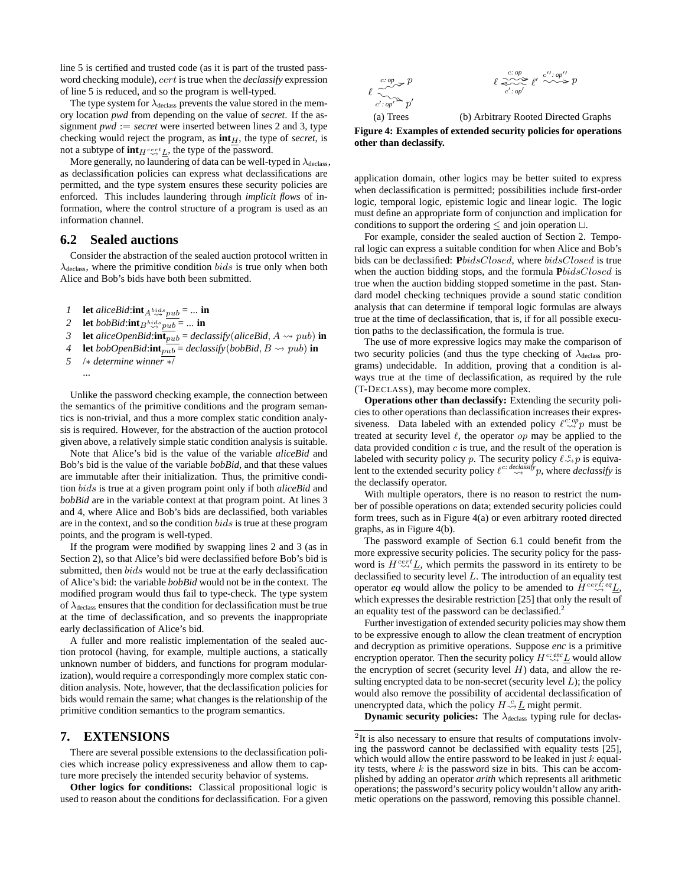line 5 is certified and trusted code (as it is part of the trusted password checking module), cert is true when the *declassify* expression of line 5 is reduced, and so the program is well-typed.

The type system for  $\lambda_{\text{declass}}$  prevents the value stored in the memory location *pwd* from depending on the value of *secret*. If the assignment  $pwd := secret$  were inserted between lines 2 and 3, type checking would reject the program, as  $int_H$ , the type of *secret*, is not a subtype of  $\text{int}_{H^{cert}L}$ , the type of the password.

More generally, no laundering of data can be well-typed in  $\lambda_{\text{declass}}$ , as declassification policies can express what declassifications are permitted, and the type system ensures these security policies are enforced. This includes laundering through *implicit flows* of information, where the control structure of a program is used as an information channel.

## **6.2 Sealed auctions**

Consider the abstraction of the sealed auction protocol written in  $\lambda_{\text{declass}}$ , where the primitive condition  $bids$  is true only when both Alice and Bob's bids have both been submitted.

- *1* **let** *aliceBid*: $\text{int}_{A}^{b} \overset{ids}{\leadsto} pub = ...$  **in**
- 2 **let** *bobBid*: $\text{int}_B$ <sup>*bids*</sup> $\omega_p$ *pub* = ... **in**
- 3 **let**  $aliceOpenBid: \underbrace{true}{true} = deck(side, A \rightsquigarrow pub)$  **in**
- 4 **let** *bobOpenBid*: $\text{int}_{pub} =$  *declassify*(*bobBid, B*  $\rightsquigarrow$  *pub*) **in**
- *5* /∗ *determine winner* ∗/

...

Unlike the password checking example, the connection between the semantics of the primitive conditions and the program semantics is non-trivial, and thus a more complex static condition analysis is required. However, for the abstraction of the auction protocol given above, a relatively simple static condition analysis is suitable.

Note that Alice's bid is the value of the variable *aliceBid* and Bob's bid is the value of the variable *bobBid*, and that these values are immutable after their initialization. Thus, the primitive condition bids is true at a given program point only if both *aliceBid* and *bobBid* are in the variable context at that program point. At lines 3 and 4, where Alice and Bob's bids are declassified, both variables are in the context, and so the condition bids is true at these program points, and the program is well-typed.

If the program were modified by swapping lines 2 and 3 (as in Section 2), so that Alice's bid were declassified before Bob's bid is submitted, then bids would not be true at the early declassification of Alice's bid: the variable *bobBid* would not be in the context. The modified program would thus fail to type-check. The type system of  $\lambda_{\text{declass}}$  ensures that the condition for declassification must be true at the time of declassification, and so prevents the inappropriate early declassification of Alice's bid.

A fuller and more realistic implementation of the sealed auction protocol (having, for example, multiple auctions, a statically unknown number of bidders, and functions for program modularization), would require a correspondingly more complex static condition analysis. Note, however, that the declassification policies for bids would remain the same; what changes is the relationship of the primitive condition semantics to the program semantics.

## **7. EXTENSIONS**

There are several possible extensions to the declassification policies which increase policy expressiveness and allow them to capture more precisely the intended security behavior of systems.

**Other logics for conditions:** Classical propositional logic is used to reason about the conditions for declassification. For a given





(a) Trees (b) Arbitrary Rooted Directed Graphs **Figure 4: Examples of extended security policies for operations other than declassify.**

application domain, other logics may be better suited to express when declassification is permitted; possibilities include first-order logic, temporal logic, epistemic logic and linear logic. The logic must define an appropriate form of conjunction and implication for conditions to support the ordering  $\leq$  and join operation  $\sqcup$ .

For example, consider the sealed auction of Section 2. Temporal logic can express a suitable condition for when Alice and Bob's bids can be declassified: **P**bidsClosed, where bidsClosed is true when the auction bidding stops, and the formula **P**bidsClosed is true when the auction bidding stopped sometime in the past. Standard model checking techniques provide a sound static condition analysis that can determine if temporal logic formulas are always true at the time of declassification, that is, if for all possible execution paths to the declassification, the formula is true.

The use of more expressive logics may make the comparison of two security policies (and thus the type checking of  $\lambda_{\text{declass}}$  programs) undecidable. In addition, proving that a condition is always true at the time of declassification, as required by the rule (T-DECLASS), may become more complex.

**Operations other than declassify:** Extending the security policies to other operations than declassification increases their expressiveness. Data labeled with an extended policy  $\ell \stackrel{c: op}{\leadsto} p$  must be treated at security level  $\ell$ , the operator  $op$  may be applied to the data provided condition  $c$  is true, and the result of the operation is labeled with security policy p. The security policy  $\ell \rightarrow \infty$  is equivalent to the extended security policy  $\ell^{c:$  declassify p, where *declassify* is the declassify operator.

With multiple operators, there is no reason to restrict the number of possible operations on data; extended security policies could form trees, such as in Figure 4(a) or even arbitrary rooted directed graphs, as in Figure 4(b).

The password example of Section 6.1 could benefit from the more expressive security policies. The security policy for the password is  $H \stackrel{cert}{\leadsto} \underline{L}$ , which permits the password in its entirety to be declassified to security level L. The introduction of an equality test operator *eq* would allow the policy to be amended to  $\overrightarrow{H}^{cert: eq} \underline{L}$ , which expresses the desirable restriction [25] that only the result of an equality test of the password can be declassified.<sup>2</sup>

Further investigation of extended security policies may show them to be expressive enough to allow the clean treatment of encryption and decryption as primitive operations. Suppose *enc* is a primitive encryption operator. Then the security policy  $H^{c;\text{enc}} \to \infty$  would allow the encryption of secret (security level  $H$ ) data, and allow the resulting encrypted data to be non-secret (security level  $L$ ); the policy would also remove the possibility of accidental declassification of unencrypted data, which the policy  $H \sim \mathcal{L}$  might permit.

**Dynamic security policies:** The  $\lambda_{\text{declass}}$  typing rule for declas-

 $2$ It is also necessary to ensure that results of computations involving the password cannot be declassified with equality tests [25], which would allow the entire password to be leaked in just  $k$  equality tests, where  $k$  is the password size in bits. This can be accomplished by adding an operator *arith* which represents all arithmetic operations; the password's security policy wouldn't allow any arithmetic operations on the password, removing this possible channel.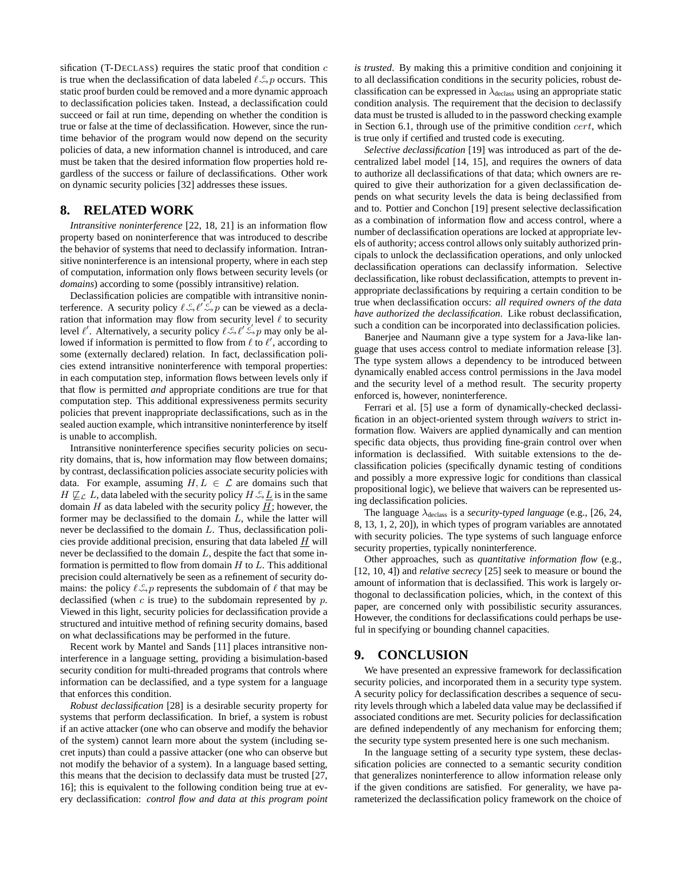sification (T-DECLASS) requires the static proof that condition  $c$ is true when the declassification of data labeled  $\ell \rightarrow \infty$  p occurs. This static proof burden could be removed and a more dynamic approach to declassification policies taken. Instead, a declassification could succeed or fail at run time, depending on whether the condition is true or false at the time of declassification. However, since the runtime behavior of the program would now depend on the security policies of data, a new information channel is introduced, and care must be taken that the desired information flow properties hold regardless of the success or failure of declassifications. Other work on dynamic security policies [32] addresses these issues.

## **8. RELATED WORK**

*Intransitive noninterference* [22, 18, 21] is an information flow property based on noninterference that was introduced to describe the behavior of systems that need to declassify information. Intransitive noninterference is an intensional property, where in each step of computation, information only flows between security levels (or *domains*) according to some (possibly intransitive) relation.

Declassification policies are compatible with intransitive noninterference. A security policy  $\ell \stackrel{c}{\leadsto} \ell' \stackrel{c'}{\leadsto} p$  can be viewed as a declaration that information may flow from security level  $\ell$  to security level  $\ell'$ . Alternatively, a security policy  $\ell \rightarrow \ell' \rightarrow \ell' \rightarrow p$  may only be allowed if information is permitted to flow from  $\ell$  to  $\ell'$ , according to some (externally declared) relation. In fact, declassification policies extend intransitive noninterference with temporal properties: in each computation step, information flows between levels only if that flow is permitted *and* appropriate conditions are true for that computation step. This additional expressiveness permits security policies that prevent inappropriate declassifications, such as in the sealed auction example, which intransitive noninterference by itself is unable to accomplish.

Intransitive noninterference specifies security policies on security domains, that is, how information may flow between domains; by contrast, declassification policies associate security policies with data. For example, assuming  $H, L \in \mathcal{L}$  are domains such that  $H \not\sqsubseteq_{\mathcal{L}} L$ , data labeled with the security policy  $H \rightarrow \_L$  is in the same domain  $H$  as data labeled with the security policy  $H$ ; however, the former may be declassified to the domain  $L$ , while the latter will never be declassified to the domain  $L$ . Thus, declassification policies provide additional precision, ensuring that data labeled  $H$  will never be declassified to the domain  $L$ , despite the fact that some information is permitted to flow from domain  $H$  to  $L$ . This additional precision could alternatively be seen as a refinement of security domains: the policy  $\ell \rightarrow p$  represents the subdomain of  $\ell$  that may be declassified (when  $c$  is true) to the subdomain represented by  $p$ . Viewed in this light, security policies for declassification provide a structured and intuitive method of refining security domains, based on what declassifications may be performed in the future.

Recent work by Mantel and Sands [11] places intransitive noninterference in a language setting, providing a bisimulation-based security condition for multi-threaded programs that controls where information can be declassified, and a type system for a language that enforces this condition.

*Robust declassification* [28] is a desirable security property for systems that perform declassification. In brief, a system is robust if an active attacker (one who can observe and modify the behavior of the system) cannot learn more about the system (including secret inputs) than could a passive attacker (one who can observe but not modify the behavior of a system). In a language based setting, this means that the decision to declassify data must be trusted [27, 16]; this is equivalent to the following condition being true at every declassification: *control flow and data at this program point* *is trusted*. By making this a primitive condition and conjoining it to all declassification conditions in the security policies, robust declassification can be expressed in  $\lambda_{\text{declass}}$  using an appropriate static condition analysis. The requirement that the decision to declassify data must be trusted is alluded to in the password checking example in Section 6.1, through use of the primitive condition  $cert$ , which is true only if certified and trusted code is executing.

*Selective declassification* [19] was introduced as part of the decentralized label model [14, 15], and requires the owners of data to authorize all declassifications of that data; which owners are required to give their authorization for a given declassification depends on what security levels the data is being declassified from and to. Pottier and Conchon [19] present selective declassification as a combination of information flow and access control, where a number of declassification operations are locked at appropriate levels of authority; access control allows only suitably authorized principals to unlock the declassification operations, and only unlocked declassification operations can declassify information. Selective declassification, like robust declassification, attempts to prevent inappropriate declassifications by requiring a certain condition to be true when declassification occurs: *all required owners of the data have authorized the declassification*. Like robust declassification, such a condition can be incorporated into declassification policies.

Banerjee and Naumann give a type system for a Java-like language that uses access control to mediate information release [3]. The type system allows a dependency to be introduced between dynamically enabled access control permissions in the Java model and the security level of a method result. The security property enforced is, however, noninterference.

Ferrari et al. [5] use a form of dynamically-checked declassification in an object-oriented system through *waivers* to strict information flow. Waivers are applied dynamically and can mention specific data objects, thus providing fine-grain control over when information is declassified. With suitable extensions to the declassification policies (specifically dynamic testing of conditions and possibly a more expressive logic for conditions than classical propositional logic), we believe that waivers can be represented using declassification policies.

The language  $\lambda_{\text{declass}}$  is a *security-typed language* (e.g., [26, 24, 8, 13, 1, 2, 20]), in which types of program variables are annotated with security policies. The type systems of such language enforce security properties, typically noninterference.

Other approaches, such as *quantitative information flow* (e.g., [12, 10, 4]) and *relative secrecy* [25] seek to measure or bound the amount of information that is declassified. This work is largely orthogonal to declassification policies, which, in the context of this paper, are concerned only with possibilistic security assurances. However, the conditions for declassifications could perhaps be useful in specifying or bounding channel capacities.

## **9. CONCLUSION**

We have presented an expressive framework for declassification security policies, and incorporated them in a security type system. A security policy for declassification describes a sequence of security levels through which a labeled data value may be declassified if associated conditions are met. Security policies for declassification are defined independently of any mechanism for enforcing them; the security type system presented here is one such mechanism.

In the language setting of a security type system, these declassification policies are connected to a semantic security condition that generalizes noninterference to allow information release only if the given conditions are satisfied. For generality, we have parameterized the declassification policy framework on the choice of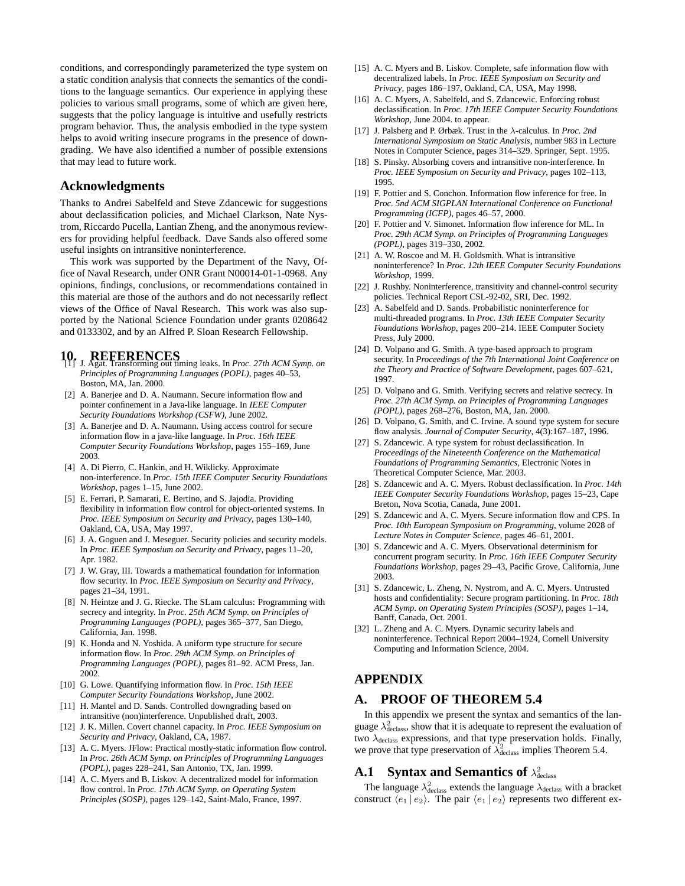conditions, and correspondingly parameterized the type system on a static condition analysis that connects the semantics of the conditions to the language semantics. Our experience in applying these policies to various small programs, some of which are given here, suggests that the policy language is intuitive and usefully restricts program behavior. Thus, the analysis embodied in the type system helps to avoid writing insecure programs in the presence of downgrading. We have also identified a number of possible extensions that may lead to future work.

## **Acknowledgments**

Thanks to Andrei Sabelfeld and Steve Zdancewic for suggestions about declassification policies, and Michael Clarkson, Nate Nystrom, Riccardo Pucella, Lantian Zheng, and the anonymous reviewers for providing helpful feedback. Dave Sands also offered some useful insights on intransitive noninterference.

This work was supported by the Department of the Navy, Office of Naval Research, under ONR Grant N00014-01-1-0968. Any opinions, findings, conclusions, or recommendations contained in this material are those of the authors and do not necessarily reflect views of the Office of Naval Research. This work was also supported by the National Science Foundation under grants 0208642 and 0133302, and by an Alfred P. Sloan Research Fellowship.

- **10. REFERENCES** [1] J. Agat. Transforming out timing leaks. In *Proc. 27th ACM Symp. on Principles of Programming Languages (POPL)*, pages 40–53, Boston, MA, Jan. 2000.
- [2] A. Banerjee and D. A. Naumann. Secure information flow and pointer confinement in a Java-like language. In *IEEE Computer Security Foundations Workshop (CSFW)*, June 2002.
- [3] A. Banerjee and D. A. Naumann. Using access control for secure information flow in a java-like language. In *Proc. 16th IEEE Computer Security Foundations Workshop*, pages 155–169, June 2003.
- [4] A. Di Pierro, C. Hankin, and H. Wiklicky. Approximate non-interference. In *Proc. 15th IEEE Computer Security Foundations Workshop*, pages 1–15, June 2002.
- [5] E. Ferrari, P. Samarati, E. Bertino, and S. Jajodia. Providing flexibility in information flow control for object-oriented systems. In *Proc. IEEE Symposium on Security and Privacy*, pages 130–140, Oakland, CA, USA, May 1997.
- [6] J. A. Goguen and J. Meseguer. Security policies and security models. In *Proc. IEEE Symposium on Security and Privacy*, pages 11–20, Apr. 1982.
- [7] J. W. Gray, III. Towards a mathematical foundation for information flow security. In *Proc. IEEE Symposium on Security and Privacy*, pages 21–34, 1991.
- [8] N. Heintze and J. G. Riecke. The SLam calculus: Programming with secrecy and integrity. In *Proc. 25th ACM Symp. on Principles of Programming Languages (POPL)*, pages 365–377, San Diego, California, Jan. 1998.
- [9] K. Honda and N. Yoshida. A uniform type structure for secure information flow. In *Proc. 29th ACM Symp. on Principles of Programming Languages (POPL)*, pages 81–92. ACM Press, Jan. 2002.
- [10] G. Lowe. Quantifying information flow. In *Proc. 15th IEEE Computer Security Foundations Workshop*, June 2002.
- [11] H. Mantel and D. Sands. Controlled downgrading based on intransitive (non)interference. Unpublished draft, 2003.
- [12] J. K. Millen. Covert channel capacity. In *Proc. IEEE Symposium on Security and Privacy*, Oakland, CA, 1987.
- [13] A. C. Myers. JFlow: Practical mostly-static information flow control. In *Proc. 26th ACM Symp. on Principles of Programming Languages (POPL)*, pages 228–241, San Antonio, TX, Jan. 1999.
- [14] A. C. Myers and B. Liskov. A decentralized model for information flow control. In *Proc. 17th ACM Symp. on Operating System Principles (SOSP)*, pages 129–142, Saint-Malo, France, 1997.
- [15] A. C. Myers and B. Liskov. Complete, safe information flow with decentralized labels. In *Proc. IEEE Symposium on Security and Privacy*, pages 186–197, Oakland, CA, USA, May 1998.
- [16] A. C. Myers, A. Sabelfeld, and S. Zdancewic. Enforcing robust declassification. In *Proc. 17th IEEE Computer Security Foundations Workshop*, June 2004. to appear.
- [17] J. Palsberg and P. Ørbæk. Trust in the λ-calculus. In *Proc. 2nd International Symposium on Static Analysis*, number 983 in Lecture Notes in Computer Science, pages 314–329. Springer, Sept. 1995.
- [18] S. Pinsky. Absorbing covers and intransitive non-interference. In *Proc. IEEE Symposium on Security and Privacy*, pages 102–113, 1995.
- [19] F. Pottier and S. Conchon. Information flow inference for free. In *Proc. 5nd ACM SIGPLAN International Conference on Functional Programming (ICFP)*, pages 46–57, 2000.
- [20] F. Pottier and V. Simonet. Information flow inference for ML. In *Proc. 29th ACM Symp. on Principles of Programming Languages (POPL)*, pages 319–330, 2002.
- [21] A. W. Roscoe and M. H. Goldsmith. What is intransitive noninterference? In *Proc. 12th IEEE Computer Security Foundations Workshop*, 1999.
- [22] J. Rushby. Noninterference, transitivity and channel-control security policies. Technical Report CSL-92-02, SRI, Dec. 1992.
- [23] A. Sabelfeld and D. Sands. Probabilistic noninterference for multi-threaded programs. In *Proc. 13th IEEE Computer Security Foundations Workshop*, pages 200–214. IEEE Computer Society Press, July 2000.
- [24] D. Volpano and G. Smith. A type-based approach to program security. In *Proceedings of the 7th International Joint Conference on the Theory and Practice of Software Development*, pages 607–621, 1997.
- [25] D. Volpano and G. Smith. Verifying secrets and relative secrecy. In *Proc. 27th ACM Symp. on Principles of Programming Languages (POPL)*, pages 268–276, Boston, MA, Jan. 2000.
- [26] D. Volpano, G. Smith, and C. Irvine. A sound type system for secure flow analysis. *Journal of Computer Security*, 4(3):167–187, 1996.
- [27] S. Zdancewic. A type system for robust declassification. In *Proceedings of the Nineteenth Conference on the Mathematical Foundations of Programming Semantics*, Electronic Notes in Theoretical Computer Science, Mar. 2003.
- [28] S. Zdancewic and A. C. Myers. Robust declassification. In *Proc. 14th IEEE Computer Security Foundations Workshop*, pages 15–23, Cape Breton, Nova Scotia, Canada, June 2001.
- [29] S. Zdancewic and A. C. Myers. Secure information flow and CPS. In *Proc. 10th European Symposium on Programming*, volume 2028 of *Lecture Notes in Computer Science*, pages 46–61, 2001.
- [30] S. Zdancewic and A. C. Myers. Observational determinism for concurrent program security. In *Proc. 16th IEEE Computer Security Foundations Workshop*, pages 29–43, Pacific Grove, California, June 2003.
- [31] S. Zdancewic, L. Zheng, N. Nystrom, and A. C. Myers. Untrusted hosts and confidentiality: Secure program partitioning. In *Proc. 18th ACM Symp. on Operating System Principles (SOSP)*, pages 1–14, Banff, Canada, Oct. 2001.
- [32] L. Zheng and A. C. Myers. Dynamic security labels and noninterference. Technical Report 2004–1924, Cornell University Computing and Information Science, 2004.

## **APPENDIX**

## **A. PROOF OF THEOREM 5.4**

In this appendix we present the syntax and semantics of the language  $\lambda_{\text{declass}}^2$ , show that it is adequate to represent the evaluation of two  $\lambda_{\text{declass}}$  expressions, and that type preservation holds. Finally, we prove that type preservation of  $\lambda_{\text{declass}}^2$  implies Theorem 5.4.

## **A.1** Syntax and Semantics of  $\lambda_{\text{declass}}^2$

The language  $\lambda_{\text{declass}}^2$  extends the language  $\lambda_{\text{declass}}$  with a bracket construct  $\langle e_1 | e_2 \rangle$ . The pair  $\langle e_1 | e_2 \rangle$  represents two different ex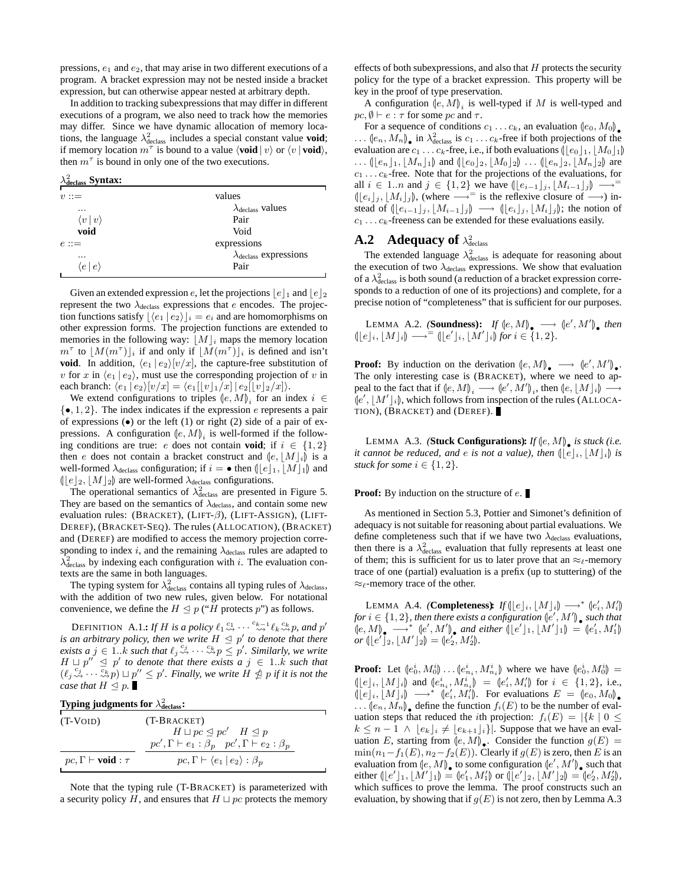pressions,  $e_1$  and  $e_2$ , that may arise in two different executions of a program. A bracket expression may not be nested inside a bracket expression, but can otherwise appear nested at arbitrary depth.

In addition to tracking subexpressions that may differ in different executions of a program, we also need to track how the memories may differ. Since we have dynamic allocation of memory locations, the language  $\lambda_{\text{declass}}^2$  includes a special constant value **void**; if memory location  $m^{\tau}$  is bound to a value  $\langle \text{void} | v \rangle$  or  $\langle v | \text{void} \rangle$ , then  $m^{\tau}$  is bound in only one of the two executions.

## λ 2 **declass Syntax:**

| $\cdots$ decides $\sim$ $\sqrt{ }$ |                                        |
|------------------------------------|----------------------------------------|
| $v ::=$                            | values                                 |
| $\cdots$                           | $\lambda_{\text{declass}}$ values      |
| $\langle v   v \rangle$            | Pair                                   |
| void                               | Void                                   |
| $e ::=$                            | expressions                            |
| $\cdots$                           | $\lambda_{\text{declass}}$ expressions |
| $\langle e   e \rangle$            | Pair                                   |
|                                    |                                        |

Given an extended expression e, let the projections  $\lfloor e \rfloor_1$  and  $\lfloor e \rfloor_2$ represent the two  $\lambda_{\text{declass}}$  expressions that  $e$  encodes. The projection functions satisfy  $|\langle e_1 | e_2 \rangle|_i = e_i$  and are homomorphisms on other expression forms. The projection functions are extended to memories in the following way:  $|M|_i$  maps the memory location  $m^{\tau}$  to  $|M(m^{\tau})|_i$  if and only if  $|M(m^{\tau})|_i$  is defined and isn't **void**. In addition,  $\langle e_1 | e_2 \rangle [v/x]$ , the capture-free substitution of v for x in  $\langle e_1 | e_2 \rangle$ , must use the corresponding projection of v in each branch:  $\langle e_1 | e_2 \rangle [v/x] = \langle e_1[|v|_1/x] | e_2[|v|_2/x] \rangle.$ 

We extend configurations to triples  $(e, M)$ <sub>i</sub> for an index  $i \in$ <br>1.2) The index indicates if the expression e represents a pair  $\{\bullet, 1, 2\}$ . The index indicates if the expression e represents a pair of expressions  $\left( \bullet \right)$  or the left  $(1)$  or right  $(2)$  side of a pair of expressions. A configuration  $\langle e, M \rangle_i$  is well-formed if the follow-<br>ing conditions are true: a does not contain **void**: if  $i \in [1, 2]$ ing conditions are true: e does not contain **void**; if  $i \in \{1,2\}$ then e does not contain a bracket construct and  $\{e, |M|_i\}$  is a well-formed  $\lambda_{\text{declass}}$  configuration; if  $i = \bullet$  then  $\left( \left\| e \right|_1, \left\| M \right|_1 \right)$  and  $\langle \ell_2, \lfloor M \rfloor_2 \rangle$  are well-formed  $\lambda_{\text{declass}}$  configurations.

The operational semantics of  $\lambda_{\text{declass}}^2$  are presented in Figure 5. They are based on the semantics of  $\lambda_{\text{declass}}$ , and contain some new evaluation rules: (BRACKET), (LIFT-β), (LIFT-ASSIGN), (LIFT-DEREF), (BRACKET-SEQ). The rules (ALLOCATION), (BRACKET) and (DEREF) are modified to access the memory projection corresponding to index i, and the remaining  $\lambda_{\text{declass}}$  rules are adapted to  $\lambda_{\text{declass}}^2$  by indexing each configuration with i. The evaluation contexts are the same in both languages.

The typing system for  $\lambda_{\text{declass}}^2$  contains all typing rules of  $\lambda_{\text{declass}}$ , with the addition of two new rules, given below. For notational convenience, we define the  $H \trianglelefteq p$  ("*H* protects *p*") as follows.

DEFINITION A.1.: If H is a policy  $\ell_1 \stackrel{c_1}{\leadsto} \cdots \stackrel{c_{k-1}}{\leadsto} \ell_k \stackrel{c_k}{\leadsto} p$ , and  $p'$ *is an arbitrary policy, then we write*  $H \trianglelefteq p'$  to denote that there *exists a*  $j \in \{1..k\}$  *such that*  $\ell_j \stackrel{c_j}{\leadsto} \cdots \stackrel{c_k}{\leadsto} p \leq p'$ *. Similarly, we write*  $H \sqcup p'' \trianglelefteq p'$  to denote that there exists a  $j \in 1..k$  such that  $(\ell_j \overset{c_j}{\leadsto} \cdots \overset{c_k}{\leadsto} p) \sqcup p'' \leq p'.$  Finally, we write  $H \ntrianglelefteq p$  if it is not the *case that*  $H \leq p$ .

| Typing judgments for $\lambda_{\text{declass}}^2$ : |  |
|-----------------------------------------------------|--|
|-----------------------------------------------------|--|

| $\sim$ receives the contract of $\sim$ declass $\sim$ |                                                                           |
|-------------------------------------------------------|---------------------------------------------------------------------------|
| $(T-VOID)$                                            | (T-BRACKET)                                                               |
|                                                       | $H \sqcup pc \trianglelefteq pc'$ $H \trianglelefteq p$                   |
|                                                       | $pc', \Gamma \vdash e_1 : \beta_p \quad pc', \Gamma \vdash e_2 : \beta_p$ |
| $pc, \Gamma \vdash \textbf{void}: \tau$               | $pc, \Gamma \vdash \langle e_1   e_2 \rangle : \beta_p$                   |
|                                                       |                                                                           |

Note that the typing rule (T-BRACKET) is parameterized with a security policy H, and ensures that  $H \sqcup pc$  protects the memory effects of both subexpressions, and also that  $H$  protects the security policy for the type of a bracket expression. This property will be key in the proof of type preservation.

A configuration  $[\ell, M]_i$  is well-typed if M is well-typed and  $\ell$  $pc, \emptyset \vdash e : \tau$  for some  $pc$  and  $\tau$ .

For a sequence of conditions  $c_1 \ldots c_k$ , an evaluation  $\langle e_0, M_0 \rangle$ .  $\ldots$  (e<sub>n</sub>,  $M_n$ ) in  $\lambda_{\text{declass}}^2$  is  $c_1 \ldots c_k$ -free if both projections of the evaluation are  $c_k$ . evaluation are  $c_1 \ldots c_k$ -free, i.e., if both evaluations  $(\lfloor e_0 \rfloor_1, \lfloor M_0 \rfloor_1)$ ...  $(\lfloor e_n \rfloor_1, \lfloor M_n \rfloor_1)$  and  $(\lfloor e_0 \rfloor_2, \lfloor M_0 \rfloor_2)$  ...  $(\lfloor e_n \rfloor_2, \lfloor M_n \rfloor_2)$  are  $c_1 \ldots c_k$ -free. Note that for the projections of the evaluations, for all  $i \in 1..n$  and  $j \in \{1,2\}$  we have  $\langle [e_{i-1}]_j, [M_{i-1}]_j \rangle$  –  $\langle [e_i]_j, [M_i]_j] \rangle$ , (where  $\longrightarrow^-$  is the reflexive closure of  $\longrightarrow$ ) instead of  $(\lfloor e_{i-1} \rfloor_j, \lfloor M_{i-1} \rfloor_j) \longrightarrow (\lfloor e_i \rfloor_j, \lfloor M_i \rfloor_j)$ ; the notion of  $c_1 \ldots c_k$ -freeness can be extended for these evaluations easily.

## **A.2 Adequacy of**  $\lambda_{\text{declass}}^2$

The extended language  $\lambda_{\text{declass}}^2$  is adequate for reasoning about the execution of two  $\lambda_{\text{declass}}$  expressions. We show that evaluation of a  $\lambda_{\text{declass}}^2$  is both sound (a reduction of a bracket expression corresponds to a reduction of one of its projections) and complete, for a precise notion of "completeness" that is sufficient for our purposes.

LEMMA A.2. **(Soundness):** *If*  $\{e, M\}$   $\longrightarrow$   $\{e', M'\}$  *then*<br>bl.  $\{M\}$   $\longrightarrow$   $\equiv$   $\{e'|$   $\longrightarrow$   $\{M'\}$  and for  $i \in I$  1.3)  $( [e]_i, [M]_i ) \longrightarrow^= ( [e']_i, [M']_i )$  for  $i \in \{1, 2\}.$ 

**Proof:** By induction on the derivation  $(e, M)_{\bullet} \longrightarrow (e', M')_{\bullet}$ .<br>The only interesting case is (BRACKET), where we need to approximately The only interesting case is (BRACKET), where we need to appeal to the fact that if  $\langle e, M \rangle_i \longrightarrow \langle e', M' \rangle_i$ , then  $\langle e, [M]_i \rangle \longrightarrow$  $\oint e', [M']_{ij}$ , which follows from inspection of the rules (ALLOCA-<br>TION) (BBACKET) and (DEBEE) TION), (BRACKET) and (DEREF).

LEMMA A.3. **(Stuck Configurations):** *If*  $\{e, M\}$  is stuck (i.e. *it cannot be reduced, and e is not a value), then*  $\{e_i, |M_i|\}$  *is stuck for some*  $i \in \{1, 2\}$ *.* 

**Proof:** By induction on the structure of *e*.

As mentioned in Section 5.3, Pottier and Simonet's definition of adequacy is not suitable for reasoning about partial evaluations. We define completeness such that if we have two  $\lambda_{\text{declass}}$  evaluations, then there is a  $\lambda_{\text{declass}}^2$  evaluation that fully represents at least one of them; this is sufficient for us to later prove that an  $\approx_{\ell}$ -memory trace of one (partial) evaluation is a prefix (up to stuttering) of the  $\approx_{\ell}$ -memory trace of the other.

LEMMA A.4. **(Completeness):**  $If (|e|_i, [M]_i) \longrightarrow^* (e'_i, M'_i)$ *for*  $i \in \{1, 2\}$ , then there exists a configuration  $(e', M')$ , such that  $\{e, M\}$   $\longrightarrow$   $\{e', M'\}$ ,  $\longrightarrow$   $\{e', M'\}$  $\begin{array}{lll}\n\text{(e, } M) & \longrightarrow^* & \text{(e', } M' \text{)} & \text{and either } (\lfloor e' \rfloor_1, \lfloor M' \rfloor_1) = (\lfloor e'_1, M'_1 \rfloor_1) \\
\text{(e, } M \mid & \longrightarrow^* & \text{(e', } M' \mid & \text{and either } (\lfloor e' \rfloor_1, \lfloor M' \rfloor_1) = (\lfloor e'_1, M'_1 \rfloor_1) \\
\text{(f, } M' \mid & \text{if } \lfloor e' \rfloor_2, \lfloor M' \rfloor_2) = (\lfloor e'_2, M'_2 \rfloor_2.\n\end{array}$ 

**Proof:** Let  $\begin{bmatrix} e_0^i, M_0^i \end{bmatrix} \dots \begin{bmatrix} e_n^i, M_{n_i}^i \end{bmatrix}$  where we have  $\begin{bmatrix} e_0^i, M_0^i \end{bmatrix} =$  $\{[\![e]\!]_i, [\![M]\!]_i\}$  and  $\{e^i_{n_i}, M^i_{n_i}\} = [\![e'_i, M'_i]\!]$  for  $i \in \{1, 2\}, \text{ i.e.,}$ <br> $\{[\![d]\!]_i, [\![M]\!]_i\}$   $*$   $[\![d']\!]_i$  . For evaluations  $F = [\![e_0, M_i]\!]_i$  $\{e[\cdot,\llbracket M \rrbracket_i] \rightarrow \text{ } \phi[\cdot,\llbracket M \rrbracket]_i\}$ . For evaluations  $E = \langle e_0, M_0 \rangle$ ...  $(e_n, M_n)$  define the function  $f_i(E)$  to be the number of evaluation stars that reduced the *i*th projection:  $f_i(E) = |f_k| |0 \le$ uation steps that reduced the *i*th projection:  $f_i(E) = |\{k \mid 0 \leq$  $k \leq n-1 \land |e_k|_i \neq |e_{k+1}|_i$ . Suppose that we have an evaluation E, starting from  $\{e, M\}$ . Consider the function  $g(E) =$ <br> $\min(n, -f(E), n_{0} - f_{e}(E))$  Clearly if  $g(E)$  is zero, then E is an  $\min(n_1-f_1(E), n_2-f_2(E))$ . Clearly if  $g(E)$  is zero, then E is an evaluation from  $[e, M]$  to some configuration  $[e', M']$ , such that<br>either  $\mathbb{E}[e'] = [M'] \cup \mathbb{E}[e', M']$  or  $\mathbb{E}[e'] = [M'] \cup \mathbb{E}[e', M']$ Evaluation from  $\{e, M\}$ , as some comiguration  $\{e', M\}$ , such that<br>either  $\{e'\}_1$ ,  $[M']$  and  $\{e'\}_2$ ,  $\{M'\}_2$  or  $\{e'\}_2$ ,  $[M']$  and  $\{e', M'\}_2$  is  $\{e'\}_2$ . which suffices to prove the lemma. The proof constructs such an evaluation, by showing that if  $g(E)$  is not zero, then by Lemma A.3